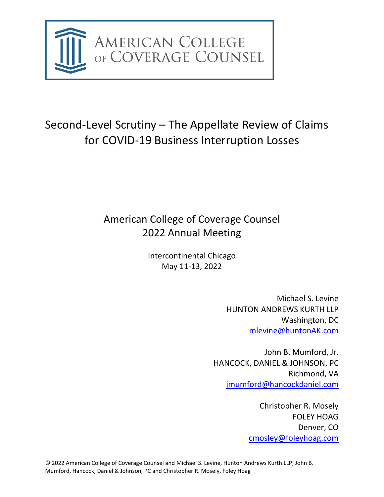

# Second-Level Scrutiny – The Appellate Review of Claims for COVID-19 Business Interruption Losses

# American College of Coverage Counsel 2022 Annual Meeting

Intercontinental Chicago May 11-13, 2022

> Michael S. Levine HUNTON ANDREWS KURTH LLP Washington, DC [mlevine@huntonAK.com](mailto:mlevine@huntonAK.com)

John B. Mumford, Jr. HANCOCK, DANIEL & JOHNSON, PC Richmond, VA [jmumford@hancockdaniel.com](mailto:jmumford@hancockdaniel.com)

> Christopher R. Mosely FOLEY HOAG Denver, CO [cmosley@foleyhoag.com](mailto:cmosley@foleyhoag.com)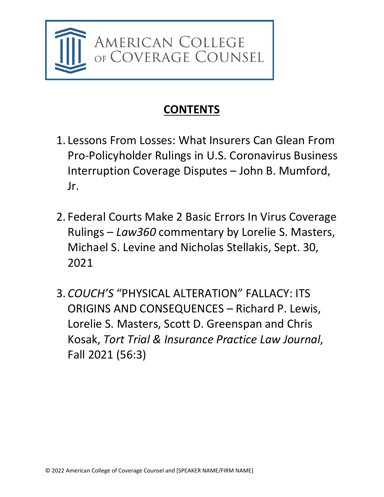

# **CONTENTS**

- 1. Lessons From Losses: What Insurers Can Glean From Pro-Policyholder Rulings in U.S. Coronavirus Business Interruption Coverage Disputes – John B. Mumford, Jr.
- 2. Federal Courts Make 2 Basic Errors In Virus Coverage Rulings – *Law360* commentary by Lorelie S. Masters, Michael S. Levine and Nicholas Stellakis, Sept. 30, 2021
- 3. *COUCH'S* "PHYSICAL ALTERATION" FALLACY: ITS ORIGINS AND CONSEQUENCES – Richard P. Lewis, Lorelie S. Masters, Scott D. Greenspan and Chris Kosak, *Tort Trial & Insurance Practice Law Journal*, Fall 2021 (56:3)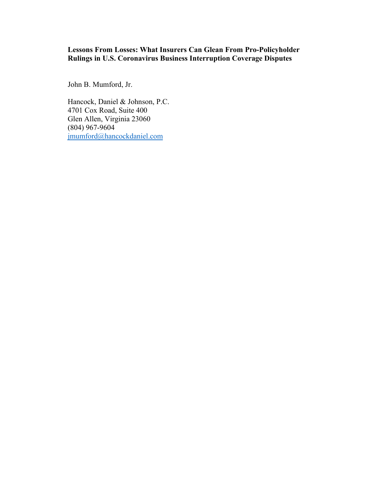# **Lessons From Losses: What Insurers Can Glean From Pro-Policyholder Rulings in U.S. Coronavirus Business Interruption Coverage Disputes**

John B. Mumford, Jr.

Hancock, Daniel & Johnson, P.C. 4701 Cox Road, Suite 400 Glen Allen, Virginia 23060 (804) 967-9604 [jmumford@hancockdaniel.com](mailto:jmumford@hancockdaniel.com)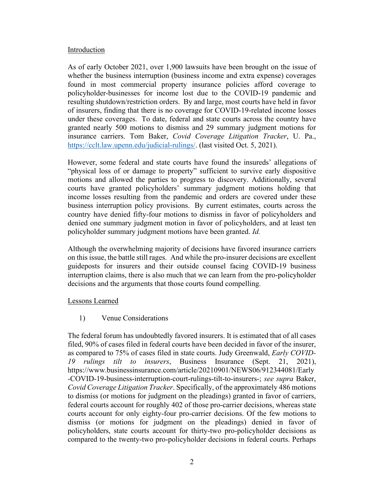## **Introduction**

As of early October 2021, over 1,900 lawsuits have been brought on the issue of whether the business interruption (business income and extra expense) coverages found in most commercial property insurance policies afford coverage to policyholder-businesses for income lost due to the COVID-19 pandemic and resulting shutdown/restriction orders. By and large, most courts have held in favor of insurers, finding that there is no coverage for COVID-19-related income losses under these coverages. To date, federal and state courts across the country have granted nearly 500 motions to dismiss and 29 summary judgment motions for insurance carriers. Tom Baker, *Covid Coverage Litigation Tracker*, U. Pa., [https://cclt.law.upenn.edu/judicial-rulings/.](https://cclt.law.upenn.edu/judicial-rulings/) (last visited Oct. 5, 2021).

However, some federal and state courts have found the insureds' allegations of "physical loss of or damage to property" sufficient to survive early dispositive motions and allowed the parties to progress to discovery. Additionally, several courts have granted policyholders' summary judgment motions holding that income losses resulting from the pandemic and orders are covered under these business interruption policy provisions. By current estimates, courts across the country have denied fifty-four motions to dismiss in favor of policyholders and denied one summary judgment motion in favor of policyholders, and at least ten policyholder summary judgment motions have been granted. *Id.*

Although the overwhelming majority of decisions have favored insurance carriers on this issue, the battle still rages. And while the pro-insurer decisions are excellent guideposts for insurers and their outside counsel facing COVID-19 business interruption claims, there is also much that we can learn from the pro-policyholder decisions and the arguments that those courts found compelling.

## Lessons Learned

## 1) Venue Considerations

The federal forum has undoubtedly favored insurers. It is estimated that of all cases filed, 90% of cases filed in federal courts have been decided in favor of the insurer, as compared to 75% of cases filed in state courts. Judy Greenwald, *Early COVID-19 rulings tilt to insurers*, Business Insurance (Sept. 21, 2021), https://www.businessinsurance.com/article/20210901/NEWS06/912344081/Early -COVID-19-business-interruption-court-rulings-tilt-to-insurers-; *see supra* Baker, *Covid Coverage Litigation Tracker*. Specifically, of the approximately 486 motions to dismiss (or motions for judgment on the pleadings) granted in favor of carriers, federal courts account for roughly 402 of those pro-carrier decisions, whereas state courts account for only eighty-four pro-carrier decisions. Of the few motions to dismiss (or motions for judgment on the pleadings) denied in favor of policyholders, state courts account for thirty-two pro-policyholder decisions as compared to the twenty-two pro-policyholder decisions in federal courts. Perhaps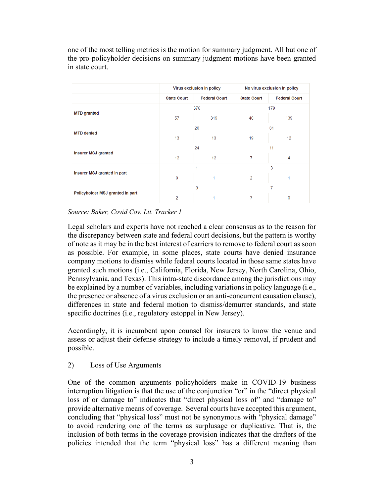one of the most telling metrics is the motion for summary judgment. All but one of the pro-policyholder decisions on summary judgment motions have been granted in state court.

|                                  | Virus exclusion in policy |                      | No virus exclusion in policy |                      |
|----------------------------------|---------------------------|----------------------|------------------------------|----------------------|
|                                  | <b>State Court</b>        | <b>Federal Court</b> | <b>State Court</b>           | <b>Federal Court</b> |
| <b>MTD</b> granted               | 376                       |                      | 179                          |                      |
|                                  | 57                        | 319                  | 40                           | 139                  |
| <b>MTD</b> denied                | 26                        |                      | 31                           |                      |
|                                  | 13                        | 13                   | 19                           | 12                   |
| <b>Insurer MSJ granted</b>       | 24                        |                      | 11                           |                      |
|                                  | 12                        | 12                   | 7                            | $\overline{4}$       |
| Insurer MSJ granted in part      | 1                         |                      | 3                            |                      |
|                                  | $\mathbf{0}$              | 1                    | $\overline{2}$               | 1                    |
| Policyholder MSJ granted in part | 3                         |                      | 7                            |                      |
|                                  | $\overline{2}$            | 1                    | 7                            | $\bf{0}$             |

*Source: Baker, Covid Cov. Lit. Tracker 1*

Legal scholars and experts have not reached a clear consensus as to the reason for the discrepancy between state and federal court decisions, but the pattern is worthy of note as it may be in the best interest of carriers to remove to federal court as soon as possible. For example, in some places, state courts have denied insurance company motions to dismiss while federal courts located in those same states have granted such motions (i.e., California, Florida, New Jersey, North Carolina, Ohio, Pennsylvania, and Texas). This intra-state discordance among the jurisdictions may be explained by a number of variables, including variations in policy language (i.e., the presence or absence of a virus exclusion or an anti-concurrent causation clause), differences in state and federal motion to dismiss/demurrer standards, and state specific doctrines (i.e., regulatory estoppel in New Jersey).

Accordingly, it is incumbent upon counsel for insurers to know the venue and assess or adjust their defense strategy to include a timely removal, if prudent and possible.

# 2) Loss of Use Arguments

One of the common arguments policyholders make in COVID-19 business interruption litigation is that the use of the conjunction "or" in the "direct physical loss of or damage to" indicates that "direct physical loss of" and "damage to" provide alternative means of coverage. Several courts have accepted this argument, concluding that "physical loss" must not be synonymous with "physical damage" to avoid rendering one of the terms as surplusage or duplicative. That is, the inclusion of both terms in the coverage provision indicates that the drafters of the policies intended that the term "physical loss" has a different meaning than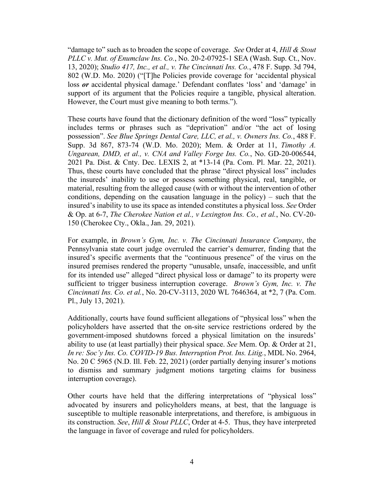"damage to" such as to broaden the scope of coverage. *See* Order at 4, *Hill & Stout PLLC v. Mut. of Enumclaw Ins. Co.*, No. 20-2-07925-1 SEA (Wash. Sup. Ct., Nov. 13, 2020); *Studio 417, Inc., et al., v. The Cincinnati Ins. Co.*, 478 F. Supp. 3d 794, 802 (W.D. Mo. 2020) ("[T]he Policies provide coverage for 'accidental physical loss *or* accidental physical damage.' Defendant conflates 'loss' and 'damage' in support of its argument that the Policies require a tangible, physical alteration. However, the Court must give meaning to both terms.").

These courts have found that the dictionary definition of the word "loss" typically includes terms or phrases such as "deprivation" and/or "the act of losing possession". *See Blue Springs Dental Care, LLC, et al., v. Owners Ins. Co.*, 488 F. Supp. 3d 867, 873-74 (W.D. Mo. 2020); Mem. & Order at 11, *Timothy A. Ungarean, DMD, et al., v. CNA and Valley Forge Ins. Co.*, No. GD-20-006544, 2021 Pa. Dist. & Cnty. Dec. LEXIS 2, at \*13-14 (Pa. Com. Pl. Mar. 22, 2021). Thus, these courts have concluded that the phrase "direct physical loss" includes the insureds' inability to use or possess something physical, real, tangible, or material, resulting from the alleged cause (with or without the intervention of other conditions, depending on the causation language in the policy) – such that the insured's inability to use its space as intended constitutes a physical loss. *See* Order & Op. at 6-7, *The Cherokee Nation et al., v Lexington Ins. Co., et al.*, No. CV-20- 150 (Cherokee Cty., Okla., Jan. 29, 2021).

For example, in *Brown's Gym, Inc. v. The Cincinnati Insurance Company*, the Pennsylvania state court judge overruled the carrier's demurrer, finding that the insured's specific averments that the "continuous presence" of the virus on the insured premises rendered the property "unusable, unsafe, inaccessible, and unfit for its intended use" alleged "direct physical loss or damage" to its property were sufficient to trigger business interruption coverage. *Brown's Gym, Inc. v. The Cincinnati Ins. Co. et al.*, No. 20-CV-3113, 2020 WL 7646364, at \*2, 7 (Pa. Com. Pl., July 13, 2021).

Additionally, courts have found sufficient allegations of "physical loss" when the policyholders have asserted that the on-site service restrictions ordered by the government-imposed shutdowns forced a physical limitation on the insureds' ability to use (at least partially) their physical space. *See* Mem. Op. & Order at 21, *In re: Soc'y Ins. Co. COVID-19 Bus. Interruption Prot. Ins. Litig.*, MDL No. 2964, No. 20 C 5965 (N.D. Ill. Feb. 22, 2021) (order partially denying insurer's motions to dismiss and summary judgment motions targeting claims for business interruption coverage).

Other courts have held that the differing interpretations of "physical loss" advocated by insurers and policyholders means, at best, that the language is susceptible to multiple reasonable interpretations, and therefore, is ambiguous in its construction. *See*, *Hill & Stout PLLC*, Order at 4-5. Thus, they have interpreted the language in favor of coverage and ruled for policyholders.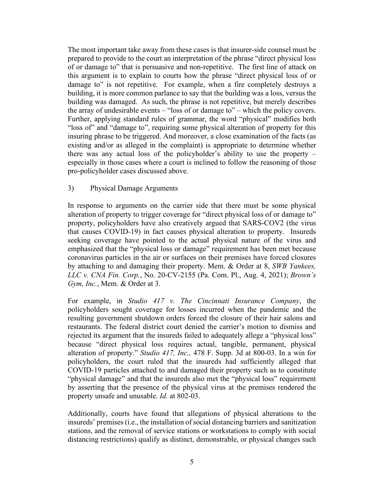The most important take away from these cases is that insurer-side counsel must be prepared to provide to the court an interpretation of the phrase "direct physical loss of or damage to" that is persuasive and non-repetitive. The first line of attack on this argument is to explain to courts how the phrase "direct physical loss of or damage to" is not repetitive. For example, when a fire completely destroys a building, it is more common parlance to say that the building was a loss, versus the building was damaged. As such, the phrase is not repetitive, but merely describes the array of undesirable events – "loss of or damage to" – which the policy covers. Further, applying standard rules of grammar, the word "physical" modifies both "loss of" and "damage to", requiring some physical alteration of property for this insuring phrase to be triggered. And moreover, a close examination of the facts (as existing and/or as alleged in the complaint) is appropriate to determine whether there was any actual loss of the policyholder's ability to use the property – especially in those cases where a court is inclined to follow the reasoning of those pro-policyholder cases discussed above.

## 3) Physical Damage Arguments

In response to arguments on the carrier side that there must be some physical alteration of property to trigger coverage for "direct physical loss of or damage to" property, policyholders have also creatively argued that SARS-COV2 (the virus that causes COVID-19) in fact causes physical alteration to property. Insureds seeking coverage have pointed to the actual physical nature of the virus and emphasized that the "physical loss or damage" requirement has been met because coronavirus particles in the air or surfaces on their premises have forced closures by attaching to and damaging their property. Mem. & Order at 8, *SWB Yankees, LLC v. CNA Fin. Corp.*, No. 20-CV-2155 (Pa. Com. Pl., Aug. 4, 2021); *Brown's Gym, Inc.*, Mem. & Order at 3.

For example, in *Studio 417 v. The Cincinnati Insurance Company*, the policyholders sought coverage for losses incurred when the pandemic and the resulting government shutdown orders forced the closure of their hair salons and restaurants. The federal district court denied the carrier's motion to dismiss and rejected its argument that the insureds failed to adequately allege a "physical loss" because "direct physical loss requires actual, tangible, permanent, physical alteration of property." *Studio 417, Inc.,* 478 F. Supp. 3d at 800-03. In a win for policyholders, the court ruled that the insureds had sufficiently alleged that COVID-19 particles attached to and damaged their property such as to constitute "physical damage" and that the insureds also met the "physical loss" requirement by asserting that the presence of the physical virus at the premises rendered the property unsafe and unusable. *Id.* at 802-03.

Additionally, courts have found that allegations of physical alterations to the insureds' premises (i.e., the installation of social distancing barriers and sanitization stations, and the removal of service stations or workstations to comply with social distancing restrictions) qualify as distinct, demonstrable, or physical changes such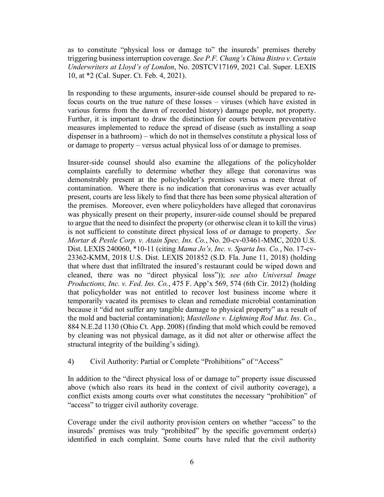as to constitute "physical loss or damage to" the insureds' premises thereby triggering business interruption coverage. *See P.F. Chang's China Bistro v. Certain Underwriters at Lloyd's of London*, No. 20STCV17169, 2021 Cal. Super. LEXIS 10, at \*2 (Cal. Super. Ct. Feb. 4, 2021).

In responding to these arguments, insurer-side counsel should be prepared to refocus courts on the true nature of these losses – viruses (which have existed in various forms from the dawn of recorded history) damage people, not property. Further, it is important to draw the distinction for courts between preventative measures implemented to reduce the spread of disease (such as installing a soap dispenser in a bathroom) – which do not in themselves constitute a physical loss of or damage to property – versus actual physical loss of or damage to premises.

Insurer-side counsel should also examine the allegations of the policyholder complaints carefully to determine whether they allege that coronavirus was demonstrably present at the policyholder's premises versus a mere threat of contamination. Where there is no indication that coronavirus was ever actually present, courts are less likely to find that there has been some physical alteration of the premises. Moreover, even where policyholders have alleged that coronavirus was physically present on their property, insurer-side counsel should be prepared to argue that the need to disinfect the property (or otherwise clean it to kill the virus) is not sufficient to constitute direct physical loss of or damage to property. *See Mortar & Pestle Corp. v. Atain Spec. Ins. Co.*, No. 20-cv-03461-MMC, 2020 U.S. Dist. LEXIS 240060, \*10-11 (citing *Mama Jo's, Inc. v. Sparta Ins. Co.*, No. 17-cv-23362-KMM, 2018 U.S. Dist. LEXIS 201852 (S.D. Fla. June 11, 2018) (holding that where dust that infiltrated the insured's restaurant could be wiped down and cleaned, there was no "direct physical loss")); *see also Universal Image Productions, Inc. v. Fed. Ins. Co.*, 475 F. App'x 569, 574 (6th Cir. 2012) (holding that policyholder was not entitled to recover lost business income where it temporarily vacated its premises to clean and remediate microbial contamination because it "did not suffer any tangible damage to physical property" as a result of the mold and bacterial contamination); *Mastellone v. Lightning Rod Mut. Ins. Co.*, 884 N.E.2d 1130 (Ohio Ct. App. 2008) (finding that mold which could be removed by cleaning was not physical damage, as it did not alter or otherwise affect the structural integrity of the building's siding).

## 4) Civil Authority: Partial or Complete "Prohibitions" of "Access"

In addition to the "direct physical loss of or damage to" property issue discussed above (which also rears its head in the context of civil authority coverage), a conflict exists among courts over what constitutes the necessary "prohibition" of "access" to trigger civil authority coverage.

Coverage under the civil authority provision centers on whether "access" to the insureds' premises was truly "prohibited" by the specific government order(s) identified in each complaint. Some courts have ruled that the civil authority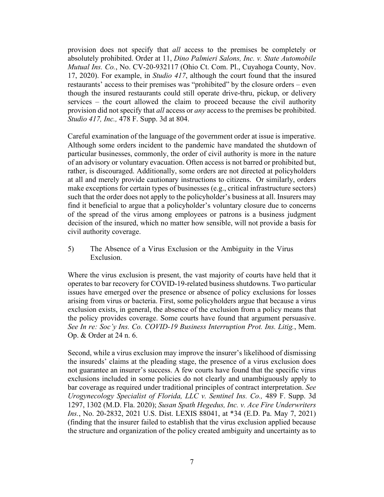provision does not specify that *all* access to the premises be completely or absolutely prohibited. Order at 11, *Dino Palmieri Salons, Inc. v. State Automobile Mutual Ins. Co.*, No. CV-20-932117 (Ohio Ct. Com. Pl., Cuyahoga County, Nov. 17, 2020). For example, in *Studio 417*, although the court found that the insured restaurants' access to their premises was "prohibited" by the closure orders – even though the insured restaurants could still operate drive-thru, pickup, or delivery services – the court allowed the claim to proceed because the civil authority provision did not specify that *all* access or *any* access to the premises be prohibited. *Studio 417, Inc.,* 478 F. Supp. 3d at 804.

Careful examination of the language of the government order at issue is imperative. Although some orders incident to the pandemic have mandated the shutdown of particular businesses, commonly, the order of civil authority is more in the nature of an advisory or voluntary evacuation. Often access is not barred or prohibited but, rather, is discouraged. Additionally, some orders are not directed at policyholders at all and merely provide cautionary instructions to citizens. Or similarly, orders make exceptions for certain types of businesses (e.g., critical infrastructure sectors) such that the order does not apply to the policyholder's business at all. Insurers may find it beneficial to argue that a policyholder's voluntary closure due to concerns of the spread of the virus among employees or patrons is a business judgment decision of the insured, which no matter how sensible, will not provide a basis for civil authority coverage.

5) The Absence of a Virus Exclusion or the Ambiguity in the Virus Exclusion.

Where the virus exclusion is present, the vast majority of courts have held that it operates to bar recovery for COVID-19-related business shutdowns. Two particular issues have emerged over the presence or absence of policy exclusions for losses arising from virus or bacteria. First, some policyholders argue that because a virus exclusion exists, in general, the absence of the exclusion from a policy means that the policy provides coverage. Some courts have found that argument persuasive. *See In re: Soc'y Ins. Co. COVID-19 Business Interruption Prot. Ins. Litig.*, Mem. Op. & Order at 24 n. 6.

Second, while a virus exclusion may improve the insurer's likelihood of dismissing the insureds' claims at the pleading stage, the presence of a virus exclusion does not guarantee an insurer's success. A few courts have found that the specific virus exclusions included in some policies do not clearly and unambiguously apply to bar coverage as required under traditional principles of contract interpretation. *See Urogynecology Specialist of Florida, LLC v. Sentinel Ins. Co.,* 489 F. Supp. 3d 1297, 1302 (M.D. Fla. 2020); *Susan Spath Hegedus, Inc. v. Ace Fire Underwriters Ins.*, No. 20-2832, 2021 U.S. Dist. LEXIS 88041, at \*34 (E.D. Pa. May 7, 2021) (finding that the insurer failed to establish that the virus exclusion applied because the structure and organization of the policy created ambiguity and uncertainty as to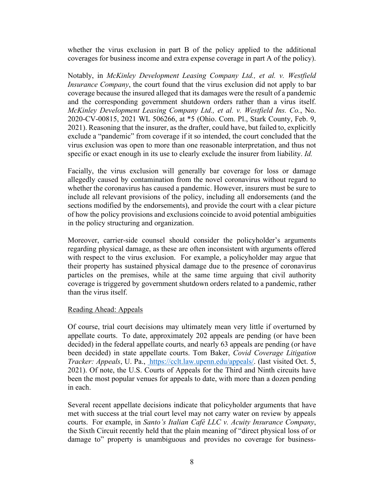whether the virus exclusion in part B of the policy applied to the additional coverages for business income and extra expense coverage in part A of the policy).

Notably, in *McKinley Development Leasing Company Ltd., et al. v. Westfield Insurance Company*, the court found that the virus exclusion did not apply to bar coverage because the insured alleged that its damages were the result of a pandemic and the corresponding government shutdown orders rather than a virus itself. *McKinley Development Leasing Company Ltd., et al. v. Westfield Ins. Co.*, No. 2020-CV-00815, 2021 WL 506266, at \*5 (Ohio. Com. Pl., Stark County, Feb. 9, 2021). Reasoning that the insurer, as the drafter, could have, but failed to, explicitly exclude a "pandemic" from coverage if it so intended, the court concluded that the virus exclusion was open to more than one reasonable interpretation, and thus not specific or exact enough in its use to clearly exclude the insurer from liability. *Id.*

Facially, the virus exclusion will generally bar coverage for loss or damage allegedly caused by contamination from the novel coronavirus without regard to whether the coronavirus has caused a pandemic. However, insurers must be sure to include all relevant provisions of the policy, including all endorsements (and the sections modified by the endorsements), and provide the court with a clear picture of how the policy provisions and exclusions coincide to avoid potential ambiguities in the policy structuring and organization.

Moreover, carrier-side counsel should consider the policyholder's arguments regarding physical damage, as these are often inconsistent with arguments offered with respect to the virus exclusion. For example, a policyholder may argue that their property has sustained physical damage due to the presence of coronavirus particles on the premises, while at the same time arguing that civil authority coverage is triggered by government shutdown orders related to a pandemic, rather than the virus itself.

## Reading Ahead: Appeals

Of course, trial court decisions may ultimately mean very little if overturned by appellate courts. To date, approximately 202 appeals are pending (or have been decided) in the federal appellate courts, and nearly 63 appeals are pending (or have been decided) in state appellate courts. Tom Baker, *Covid Coverage Litigation Tracker: Appeals*, U. Pa., [https://cclt.law.upenn.edu/appeals/.](https://cclt.law.upenn.edu/appeals/) (last visited Oct. 5, 2021). Of note, the U.S. Courts of Appeals for the Third and Ninth circuits have been the most popular venues for appeals to date, with more than a dozen pending in each.

Several recent appellate decisions indicate that policyholder arguments that have met with success at the trial court level may not carry water on review by appeals courts. For example, in *Santo's Italian Café LLC v. Acuity Insurance Company*, the Sixth Circuit recently held that the plain meaning of "direct physical loss of or damage to" property is unambiguous and provides no coverage for business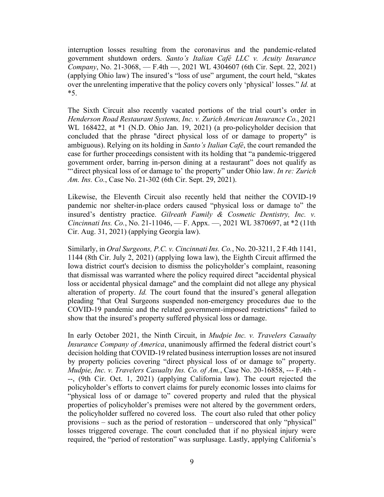interruption losses resulting from the coronavirus and the pandemic-related government shutdown orders. *Santo's Italian Café LLC v. Acuity Insurance Company*, No. 21-3068, — F.4th —, 2021 WL 4304607 (6th Cir. Sept. 22, 2021) (applying Ohio law) The insured's "loss of use" argument, the court held, "skates over the unrelenting imperative that the policy covers only 'physical' losses." *Id.* at \*5.

The Sixth Circuit also recently vacated portions of the trial court's order in *Henderson Road Restaurant Systems, Inc. v. Zurich American Insurance Co.*, 2021 WL 168422, at \*1 (N.D. Ohio Jan. 19, 2021) (a pro-policyholder decision that concluded that the phrase "direct physical loss of or damage to property" is ambiguous). Relying on its holding in *Santo's Italian Café*, the court remanded the case for further proceedings consistent with its holding that "a pandemic-triggered government order, barring in-person dining at a restaurant" does not qualify as "'direct physical loss of or damage to' the property" under Ohio law. *In re: Zurich Am. Ins. Co.*, Case No. 21-302 (6th Cir. Sept. 29, 2021).

Likewise, the Eleventh Circuit also recently held that neither the COVID-19 pandemic nor shelter-in-place orders caused "physical loss or damage to" the insured's dentistry practice. *Gilreath Family & Cosmetic Dentistry, Inc. v. Cincinnati Ins. Co.*, No. 21-11046, — F. Appx. —, 2021 WL 3870697, at \*2 (11th Cir. Aug. 31, 2021) (applying Georgia law).

Similarly, in *Oral Surgeons, P.C. v. Cincinnati Ins. Co.*, No. 20-3211, 2 F.4th 1141, 1144 (8th Cir. July 2, 2021) (applying Iowa law), the Eighth Circuit affirmed the Iowa district court's decision to dismiss the policyholder's complaint, reasoning that dismissal was warranted where the policy required direct "accidental physical loss or accidental physical damage" and the complaint did not allege any physical alteration of property. *Id.* The court found that the insured's general allegation pleading "that Oral Surgeons suspended non-emergency procedures due to the COVID-19 pandemic and the related government-imposed restrictions" failed to show that the insured's property suffered physical loss or damage.

In early October 2021, the Ninth Circuit, in *Mudpie Inc. v. Travelers Casualty Insurance Company of America*, unanimously affirmed the federal district court's decision holding that COVID-19 related business interruption losses are not insured by property policies covering "direct physical loss of or damage to" property. *Mudpie, Inc. v. Travelers Casualty Ins. Co. of Am.*, Case No. 20-16858, --- F.4th - --, (9th Cir. Oct. 1, 2021) (applying California law). The court rejected the policyholder's efforts to convert claims for purely economic losses into claims for "physical loss of or damage to" covered property and ruled that the physical properties of policyholder's premises were not altered by the government orders, the policyholder suffered no covered loss. The court also ruled that other policy provisions – such as the period of restoration – underscored that only "physical" losses triggered coverage. The court concluded that if no physical injury were required, the "period of restoration" was surplusage. Lastly, applying California's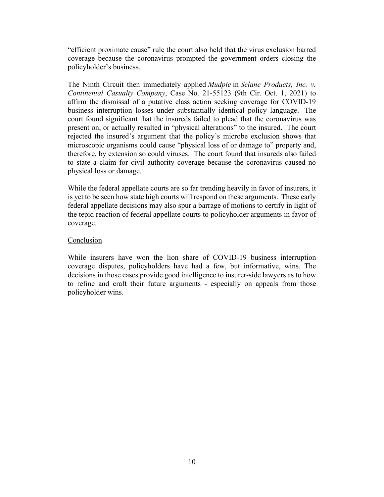"efficient proximate cause" rule the court also held that the virus exclusion barred coverage because the coronavirus prompted the government orders closing the policyholder's business.

The Ninth Circuit then immediately applied *Mudpie* in *Selane Products, Inc. v. Continental Casualty Company*, Case No. 21-55123 (9th Cir. Oct. 1, 2021) to affirm the dismissal of a putative class action seeking coverage for COVID-19 business interruption losses under substantially identical policy language. The court found significant that the insureds failed to plead that the coronavirus was present on, or actually resulted in "physical alterations" to the insured. The court rejected the insured's argument that the policy's microbe exclusion shows that microscopic organisms could cause "physical loss of or damage to" property and, therefore, by extension so could viruses. The court found that insureds also failed to state a claim for civil authority coverage because the coronavirus caused no physical loss or damage.

While the federal appellate courts are so far trending heavily in favor of insurers, it is yet to be seen how state high courts will respond on these arguments. These early federal appellate decisions may also spur a barrage of motions to certify in light of the tepid reaction of federal appellate courts to policyholder arguments in favor of coverage.

## Conclusion

While insurers have won the lion share of COVID-19 business interruption coverage disputes, policyholders have had a few, but informative, wins. The decisions in those cases provide good intelligence to insurer-side lawyers as to how to refine and craft their future arguments - especially on appeals from those policyholder wins.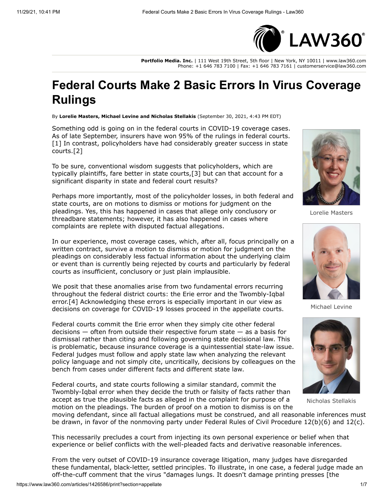

**Portfolio Media. Inc.** | 111 West 19th Street, 5th floor | New York, NY 10011 | www.law360.com Phone: +1 646 783 7100 | Fax: +1 646 783 7161 | customerservice@law360.com

# **Federal Courts Make 2 Basic Errors In Virus Coverage Rulings**

By **Lorelie Masters, Michael Levine and Nicholas Stellakis** (September 30, 2021, 4:43 PM EDT)

Something odd is going on in the federal courts in COVID-19 coverage cases. As of late September, insurers have won 95% of the rulings in federal courts. [1] In contrast, policyholders have had considerably greater success in state courts.[2]

To be sure, conventional wisdom suggests that policyholders, which are typically plaintiffs, fare better in state courts,[3] but can that account for a significant disparity in state and federal court results?

Perhaps more importantly, most of the policyholder losses, in both federal and state courts, are on motions to dismiss or motions for judgment on the pleadings. Yes, this has happened in cases that allege only conclusory or threadbare statements; however, it has also happened in cases where complaints are replete with disputed factual allegations.



Lorelie Masters



Michael Levine



Nicholas Stellakis

In our experience, most coverage cases, which, after all, focus principally on a written contract, survive a motion to dismiss or motion for judgment on the pleadings on considerably less factual information about the underlying claim or event than is currently being rejected by courts and particularly by federal courts as insufficient, conclusory or just plain implausible.

We posit that these anomalies arise from two fundamental errors recurring throughout the federal district courts: the Erie error and the Twombly-Iqbal error.[4] Acknowledging these errors is especially important in our view as decisions on coverage for COVID-19 losses proceed in the appellate courts.

Federal courts commit the Erie error when they simply cite other federal decisions — often from outside their respective forum state — as a basis for dismissal rather than citing and following governing state decisional law. This is problematic, because insurance coverage is a quintessential state-law issue. Federal judges must follow and apply state law when analyzing the relevant policy language and not simply cite, uncritically, decisions by colleagues on the bench from cases under different facts and different state law.

Federal courts, and state courts following a similar standard, commit the Twombly-Iqbal error when they decide the truth or falsity of facts rather than accept as true the plausible facts as alleged in the complaint for purpose of a motion on the pleadings. The burden of proof on a motion to dismiss is on the

moving defendant, since all factual allegations must be construed, and all reasonable inferences must be drawn, in favor of the nonmoving party under Federal Rules of Civil Procedure 12(b)(6) and 12(c).

This necessarily precludes a court from injecting its own personal experience or belief when that experience or belief conflicts with the well-pleaded facts and derivative reasonable inferences.

From the very outset of COVID-19 insurance coverage litigation, many judges have disregarded these fundamental, black-letter, settled principles. To illustrate, in one case, a federal judge made an off-the-cuff comment that the virus "damages lungs. It doesn't damage printing presses [the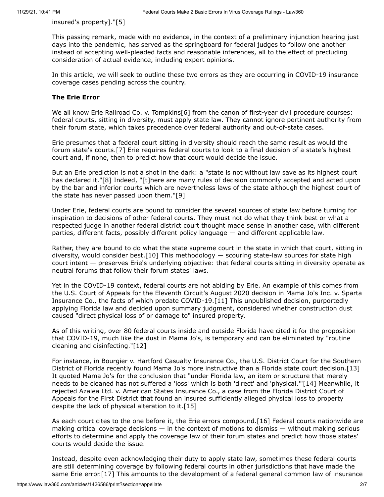insured's property]."[5]

This passing remark, made with no evidence, in the context of a preliminary injunction hearing just days into the pandemic, has served as the springboard for federal judges to follow one another instead of accepting well-pleaded facts and reasonable inferences, all to the effect of precluding consideration of actual evidence, including expert opinions.

In this article, we will seek to outline these two errors as they are occurring in COVID-19 insurance coverage cases pending across the country.

## **The Erie Error**

We all know Erie Railroad Co. v. Tompkins [6] from the canon of first-year civil procedure courses: federal courts, sitting in diversity, must apply state law. They cannot ignore pertinent authority from their forum state, which takes precedence over federal authority and out-of-state cases.

Erie presumes that a federal court sitting in diversity should reach the same result as would the forum state's courts.[7] Erie requires federal courts to look to a final decision of a state's highest court and, if none, then to predict how that court would decide the issue.

But an Erie prediction is not a shot in the dark: a "state is not without law save as its highest court has declared it."[8] Indeed, "[t]here are many rules of decision commonly accepted and acted upon by the bar and inferior courts which are nevertheless laws of the state although the highest court of the state has never passed upon them."[9]

Under Erie, federal courts are bound to consider the several sources of state law before turning for inspiration to decisions of other federal courts. They must not do what they think best or what a respected judge in another federal district court thought made sense in another case, with different parties, different facts, possibly different policy language — and different applicable law.

Rather, they are bound to do what the state supreme court in the state in which that court, sitting in diversity, would consider best.[10] This methodology — scouring state-law sources for state high court intent — preserves Erie's underlying objective: that federal courts sitting in diversity operate as neutral forums that follow their forum states' laws.

Yet in the COVID-19 context, federal courts are not abiding by Erie. An example of this comes from the [U.S. Court of Appeals for the Eleventh Circuit](https://www.law360.com/agencies/u-s-court-of-appeals-for-the-eleventh-circuit)'s August 2020 decision in Mama Jo's Inc. v. Sparta Insurance Co., the facts of which predate COVID-19.[11] This unpublished decision, purportedly applying Florida law and decided upon summary judgment, considered whether construction dust caused "direct physical loss of or damage to" insured property.

As of this writing, over 80 federal courts inside and outside Florida have cited it for the proposition that COVID-19, much like the dust in Mama Jo's, is temporary and can be eliminated by "routine cleaning and disinfecting."[12]

[For instance, in Bourgier v. Hartford Casualty Insurance Co., the U.S. District Court for the Southern](https://www.law360.com/agencies/u-s-district-court-for-the-southern-district-of-florida) District of Florida recently found Mama Jo's more instructive than a Florida state court decision.[13] It quoted Mama Jo's for the conclusion that "under Florida law, an item or structure that merely needs to be cleaned has not suffered a 'loss' which is both 'direct' and 'physical.'"[14] Meanwhile, it rejected Azalea Ltd. v. American States Insurance Co., a case from the Florida District Court of Appeals for the First District that found an insured sufficiently alleged physical loss to property despite the lack of physical alteration to it.[15]

As each court cites to the one before it, the Erie errors compound.[16] Federal courts nationwide are making critical coverage decisions  $-$  in the context of motions to dismiss  $-$  without making serious efforts to determine and apply the coverage law of their forum states and predict how those states' courts would decide the issue.

Instead, despite even acknowledging their duty to apply state law, sometimes these federal courts are still determining coverage by following federal courts in other jurisdictions that have made the same Erie error.[17] This amounts to the development of a federal general common law of insurance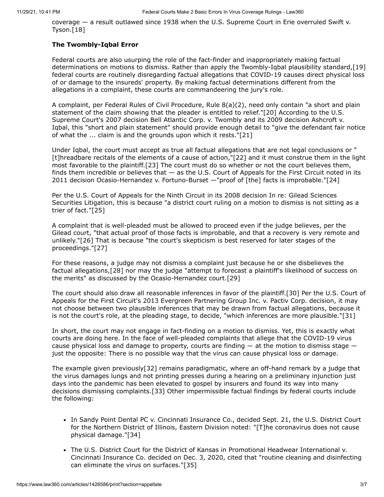coverage — a result outlawed since 1938 when the [U.S. Supreme Court](https://www.law360.com/agencies/u-s-supreme-court) in Erie overruled Swift v. Tyson.[18]

## **The Twombly-Iqbal Error**

Federal courts are also usurping the role of the fact-finder and inappropriately making factual determinations on motions to dismiss. Rather than apply the Twombly-Iqbal plausibility standard,[19] federal courts are routinely disregarding factual allegations that COVID-19 causes direct physical loss of or damage to the insureds' property. By making factual determinations different from the allegations in a complaint, these courts are commandeering the jury's role.

A complaint, per Federal Rules of Civil Procedure, Rule 8(a)(2), need only contain "a short and plain statement of the claim showing that the pleader is entitled to relief."[20] According to the U.S. Supreme Court's 2007 decision Bell Atlantic Corp. v. Twombly and its 2009 decision Ashcroft v. Iqbal, this "short and plain statement" should provide enough detail to "give the defendant fair notice of what the ... claim is and the grounds upon which it rests."[21]

Under Iqbal, the court must accept as true all factual allegations that are not legal conclusions or " [t]hreadbare recitals of the elements of a cause of action,"[22] and it must construe them in the light most favorable to the plaintiff.[23] The court must do so whether or not the court believes them, finds them incredible or believes that — as the [U.S. Court of Appeals for the First Circuit](https://www.law360.com/agencies/u-s-court-of-appeals-for-the-first-circuit) noted in its 2011 decision Ocasio-Hernandez v. Fortuno-Burset —"proof of [the] facts is improbable."[24]

Per the [U.S. Court of Appeals for the Ninth Circuit](https://www.law360.com/agencies/u-s-court-of-appeals-for-the-ninth-circuit) in its 2008 decision In re: Gilead Sciences [Securities Litigation, this is because "a district court ruling on a motion to dismiss is not sittin](https://www.law360.com/companies/gilead-sciences-inc)g as a trier of fact."[25]

A complaint that is well-pleaded must be allowed to proceed even if the judge believes, per the Gilead court, "that actual proof of those facts is improbable, and that a recovery is very remote and unlikely."[26] That is because "the court's skepticism is best reserved for later stages of the proceedings."[27]

For these reasons, a judge may not dismiss a complaint just because he or she disbelieves the factual allegations,[28] nor may the judge "attempt to forecast a plaintiff's likelihood of success on the merits" as discussed by the Ocasio-Hernandez court.[29]

The court should also draw all reasonable inferences in favor of the plaintiff.[30] Per the U.S. Court of Appeals for the First Circuit's 2013 Evergreen Partnering Group Inc. v. Pactiv Corp. decision, it may not choose between two plausible inferences that may be drawn from factual allegations, because it is not the court's role, at the pleading stage, to decide, "which inferences are more plausible."[31]

In short, the court may not engage in fact-finding on a motion to dismiss. Yet, this is exactly what courts are doing here. In the face of well-pleaded complaints that allege that the COVID-19 virus cause physical loss and damage to property, courts are finding  $-$  at the motion to dismiss stage  $$ just the opposite: There is no possible way that the virus can cause physical loss or damage.

The example given previously[32] remains paradigmatic, where an off-hand remark by a judge that the virus damages lungs and not printing presses during a hearing on a preliminary injunction just days into the pandemic has been elevated to gospel by insurers and found its way into many decisions dismissing complaints.[33] Other impermissible factual findings by federal courts include the following:

- [In Sandy Point Dental PC v. C](https://www.law360.com/agencies/u-s-district-court-for-the-northern-district-of-illinois)[incinnati Insurance Co](https://www.law360.com/companies/cincinnati-financial-corp)[., decided Sept. 21, the U.S. District Court](https://www.law360.com/agencies/u-s-district-court-for-the-northern-district-of-illinois) for the Northern District of Illinois, Eastern Division noted: "[T]he coronavirus does not cause physical damage."[34]
- The [U.S. District Court for the District of Kansas](https://www.law360.com/agencies/united-states-district-court-for-the-district-of-kansas) in Promotional Headwear International v. Cincinnati Insurance Co. decided on Dec. 3, 2020, cited that "routine cleaning and disinfecting can eliminate the virus on surfaces."[35]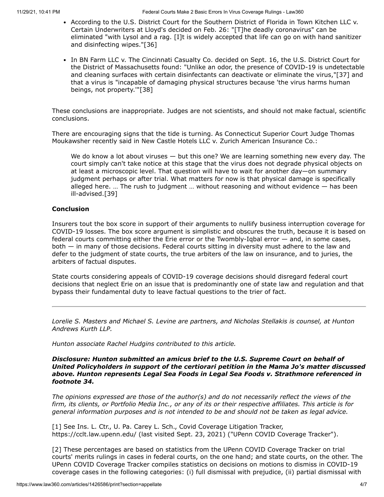- According to the U.S. District Court for the Southern District of Florida in Town Kitchen LLC v. Certain Underwriters at Lloyd's decided on Feb. 26: "[T]he deadly coronavirus" can be eliminated "with Lysol and a rag. [I]t is widely accepted that life can go on with hand sanitizer and disinfecting wipes."[36]
- In BN Farm LLC [v. The Cincinnati Casualty Co. decided on Sept. 16, the U.S. District Court for](https://www.law360.com/agencies/u-s-district-court-for-the-district-of-massachusetts) the District of Massachusetts found: "Unlike an odor, the presence of COVID-19 is undetectable and cleaning surfaces with certain disinfectants can deactivate or eliminate the virus,"[37] and that a virus is "incapable of damaging physical structures because 'the virus harms human beings, not property.'"[38]

These conclusions are inappropriate. Judges are not scientists, and should not make factual, scientific conclusions.

There are encouraging signs that the tide is turning. As Connecticut Superior Court Judge Thomas Moukawsher recently said in New Castle Hotels LLC v. Zurich American Insurance Co.:

We do know a lot about viruses — but this one? We are learning something new every day. The court simply can't take notice at this stage that the virus does not degrade physical objects on at least a microscopic level. That question will have to wait for another day—on summary judgment perhaps or after trial. What matters for now is that physical damage is specifically alleged here. … The rush to judgment … without reasoning and without evidence — has been ill-advised.[39]

## **Conclusion**

Insurers tout the box score in support of their arguments to nullify business interruption coverage for COVID-19 losses. The box score argument is simplistic and obscures the truth, because it is based on federal courts committing either the Erie error or the Twombly-Iqbal error — and, in some cases, both — in many of those decisions. Federal courts sitting in diversity must adhere to the law and defer to the judgment of state courts, the true arbiters of the law on insurance, and to juries, the arbiters of factual disputes.

State courts considering appeals of COVID-19 coverage decisions should disregard federal court decisions that neglect Erie on an issue that is predominantly one of state law and regulation and that bypass their fundamental duty to leave factual questions to the trier of fact.

*[Lorelie S. Masters](https://www.huntonak.com/en/people/lorelie-masters.html) [and](https://www.law360.com/firms/hunton-andrews) [Michael S. Levine](https://www.huntonak.com/en/people/michael-levine.html) [are partners, and](https://www.law360.com/firms/hunton-andrews) [Nicholas Stellakis](https://www.huntonak.com/en/people/nicholas-stellakis.html) is counsel, at Hunton Andrews Kurth LLP.*

*Hunton associate Rachel Hudgins contributed to this article.*

*Disclosure: Hunton submitted an amicus brief to the U.S. Supreme Court on behalf of United Policyholders in support of the certiorari petition in the Mama Jo's matter discussed above. Hunton represents Legal Sea Foods in Legal Sea Foods v. Strathmore referenced in footnote 34.*

*The opinions expressed are those of the author(s) and do not necessarily reflect the views of the firm, its clients, or Portfolio Media Inc., or any of its or their respective affiliates. This article is for general information purposes and is not intended to be and should not be taken as legal advice.*

[1] See Ins. L. Ctr., U. Pa. Carey L. Sch., Covid Coverage Litigation Tracker, <https://cclt.law.upenn.edu/> (last visited Sept. 23, 2021) ("UPenn COVID Coverage Tracker").

[2] These percentages are based on statistics from the UPenn COVID Coverage Tracker on trial courts' merits rulings in cases in federal courts, on the one hand; and state courts, on the other. The UPenn COVID Coverage Tracker compiles statistics on decisions on motions to dismiss in COVID-19 coverage cases in the following categories: (i) full dismissal with prejudice, (ii) partial dismissal with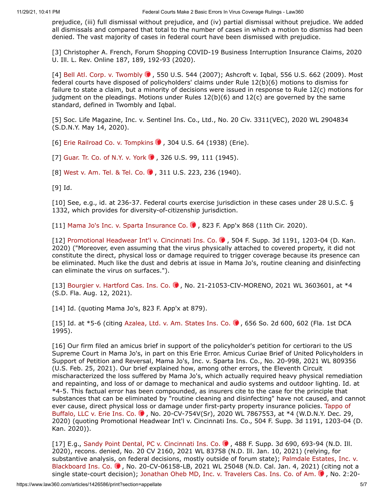prejudice, (iii) full dismissal without prejudice, and (iv) partial dismissal without prejudice. We added all dismissals and compared that total to the number of cases in which a motion to dismiss had been denied. The vast majority of cases in federal court have been dismissed with prejudice.

[3] Christopher A. French, Forum Shopping COVID-19 Business Interruption Insurance Claims, 2020 U. Ill. L. Rev. Online 187, 189, 192-93 (2020).

[4] Bell Atl. Corp. v. Twombly  $\bullet$ , 550 U.S. 544 (2007); Ashcroft v. Iqbal, 556 U.S. 662 (2009). Most federal courts have disposed of policyholders' claims under Rule 12(b)(6) motions to dismiss for failure to state a claim, but a minority of decisions were issued in response to Rule 12(c) motions for judgment on the pleadings. Motions under Rules 12(b)(6) and 12(c) are governed by the same standard, defined in Twombly and Iqbal.

[5] Soc. Life Magazine, Inc. v. Sentinel Ins. Co., Ltd., No. 20 Civ. 3311(VEC), 2020 WL 2904834 (S.D.N.Y. May 14, 2020).

[6] [Erie Railroad Co. v. Tompkins](https://advance.lexis.com/api/search?q=1938%20U.S.%20LEXIS%20984&qlang=bool&origination=law360&internalOrigination=article_id%3D1426586%3Bcitation%3D1938%20U.S.%20LEXIS%20984&originationDetail=headline%3DFederal%20Courts%20Make%202%20Basic%20Errors%20In%20Virus%20Coverage%20Rulings&) (0, 304 U.S. 64 (1938) (Erie).

[7] Guar. Tr. Co. of N.Y. v. York 0, 326 U.S. 99, 111 (1945).

[8] [West v. Am. Tel. & Tel. Co.](https://advance.lexis.com/api/search?q=1940%20U.S.%20LEXIS%2043&qlang=bool&origination=law360&internalOrigination=article_id%3D1426586%3Bcitation%3D1940%20U.S.%20LEXIS%2043&originationDetail=headline%3DFederal%20Courts%20Make%202%20Basic%20Errors%20In%20Virus%20Coverage%20Rulings&) ... 311 U.S. 223, 236 (1940).

[9] Id.

[10] See, e.g., id. at 236-37. Federal courts exercise jurisdiction in these cases under 28 U.S.C. § 1332, which provides for diversity-of-citizenship jurisdiction.

[11] Mama Jo's Inc. v. Sparta Insurance Co.  $\bullet$ , 823 F. App'x 868 (11th Cir. 2020).

[12] [Promotional Headwear Int'l v. Cincinnati Ins. Co.](https://advance.lexis.com/api/search?q=2020%20U.S.%20Dist.%20LEXIS%20228093&qlang=bool&origination=law360&internalOrigination=article_id%3D1426586%3Bcitation%3D2020%20U.S.%20Dist.%20LEXIS%20228093&originationDetail=headline%3DFederal%20Courts%20Make%202%20Basic%20Errors%20In%20Virus%20Coverage%20Rulings&)  $\bullet$ , 504 F. Supp. 3d 1191, 1203-04 (D. Kan. 2020) ("Moreover, even assuming that the virus physically attached to covered property, it did not constitute the direct, physical loss or damage required to trigger coverage because its presence can be eliminated. Much like the dust and debris at issue in Mama Jo's, routine cleaning and disinfecting can eliminate the virus on surfaces.").

[13] Bourgier v. Hartford Cas. Ins. Co.  $\bullet$ , No. 21-21053-CIV-MORENO, 2021 WL 3603601, at \*4 (S.D. Fla. Aug. 12, 2021).

[14] Id. (quoting Mama Jo's, 823 F. App'x at 879).

[15] Id. at \*5-6 (citing Azalea, Ltd. v. Am. States Ins. Co.  $\bullet$ , 656 So. 2d 600, 602 (Fla. 1st DCA 1995).

[16] Our firm filed an amicus brief in support of the policyholder's petition for certiorari to the US Supreme Court in Mama Jo's, in part on this Erie Error. Amicus Curiae Brief of United Policyholders in Support of Petition and Reversal, Mama Jo's, Inc. v. Sparta Ins. Co., No. 20-998, 2021 WL 809356 (U.S. Feb. 25, 2021). Our brief explained how, among other errors, the Eleventh Circuit mischaracterized the loss suffered by Mama Jo's, which actually required heavy physical remediation and repainting, and loss of or damage to mechanical and audio systems and outdoor lighting. Id. at \*4-5. This factual error has been compounded, as insurers cite to the case for the principle that substances that can be eliminated by "routine cleaning and disinfecting" have not caused, and cannot [ever cause, direct physical loss or damage under first-party property insurance policies. Tappo of](https://advance.lexis.com/api/search?q=2020%20U.S.%20Dist.%20LEXIS%20245436&qlang=bool&origination=law360&internalOrigination=article_id%3D1426586%3Bcitation%3D2020%20U.S.%20Dist.%20LEXIS%20245436&originationDetail=headline%3DFederal%20Courts%20Make%202%20Basic%20Errors%20In%20Virus%20Coverage%20Rulings&) Buffalo, LLC v. Erie Ins. Co. C, No. 20-CV-754V(Sr), 2020 WL 7867553, at \*4 (W.D.N.Y. Dec. 29, 2020) (quoting Promotional Headwear Int'l v. Cincinnati Ins. Co., 504 F. Supp. 3d 1191, 1203-04 (D. Kan. 2020)).

[17] E.g., [Sandy Point Dental, PC v. Cincinnati Ins. Co.](https://advance.lexis.com/api/search?q=2020%20U.S.%20Dist.%20LEXIS%20171979&qlang=bool&origination=law360&internalOrigination=article_id%3D1426586%3Bcitation%3D2020%20U.S.%20Dist.%20LEXIS%20171979&originationDetail=headline%3DFederal%20Courts%20Make%202%20Basic%20Errors%20In%20Virus%20Coverage%20Rulings&) .. 488 F. Supp. 3d 690, 693-94 (N.D. Ill. 2020), recons. denied, No. 20 CV 2160, 2021 WL 83758 (N.D. Ill. Jan. 10, 2021) (relying, for [substantive analysis, on federal decisions, mostly outside of forum state\); Palmdale Estates, Inc. v.](https://advance.lexis.com/api/search?q=2021%20U.S.%20Dist.%20LEXIS%20486&qlang=bool&origination=law360&internalOrigination=article_id%3D1426586%3Bcitation%3D2021%20U.S.%20Dist.%20LEXIS%20486&originationDetail=headline%3DFederal%20Courts%20Make%202%20Basic%20Errors%20In%20Virus%20Coverage%20Rulings&) Blackboard Ins. Co. (a), No. 20-CV-06158-LB, 2021 WL 25048 (N.D. Cal. Jan. 4, 2021) (citing not a single state-court decision); Jonathan Oheb MD, Inc. v. Travelers Cas. Ins. Co. of Am.  $\bullet$ , No. 2:20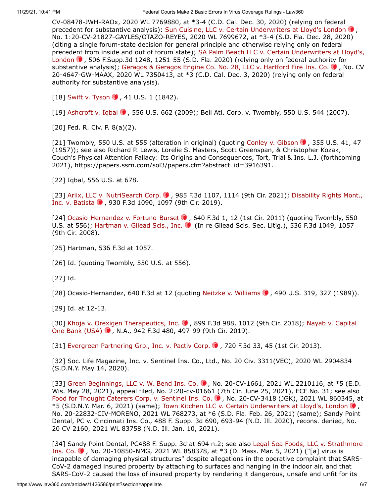11/29/21, 10:41 PM Federal Courts Make 2 Basic Errors In Virus Coverage Rulings - Law360

CV-08478-JWH-RAOx, 2020 WL 7769880, at \*3-4 (C.D. Cal. Dec. 30, 2020) (relying on federal precedent for substantive analysis): Sun Cuisine, LLC v. Certain Underwriters at Lloyd's London (0, No. 1:20-CV-21827-GAYLES/OTAZO-REYES, 2020 WL 7699672, at \*3-4 (S.D. Fla. Dec. 28, 2020) (citing a single forum-state decision for general principle and otherwise relying only on federal [precedent from inside and out of forum state\); SA Palm Beach LLC v. Certain Underwriters at Lloyd's,](https://advance.lexis.com/api/search?q=2020%20U.S.%20Dist.%20LEXIS%20251178&qlang=bool&origination=law360&internalOrigination=article_id%3D1426586%3Bcitation%3D2020%20U.S.%20Dist.%20LEXIS%20251178&originationDetail=headline%3DFederal%20Courts%20Make%202%20Basic%20Errors%20In%20Virus%20Coverage%20Rulings&) London  $\bullet$ , 506 F.Supp.3d 1248, 1251-55 (S.D. Fla. 2020) (relying only on federal authority for substantive analysis); [Geragos & Geragos Engine Co. No. 28, LLC v. Hartford Fire Ins. Co.](https://advance.lexis.com/api/search?q=2020%20U.S.%20Dist.%20LEXIS%20237547&qlang=bool&origination=law360&internalOrigination=article_id%3D1426586%3Bcitation%3D2020%20U.S.%20Dist.%20LEXIS%20237547&originationDetail=headline%3DFederal%20Courts%20Make%202%20Basic%20Errors%20In%20Virus%20Coverage%20Rulings&)  $\bullet$ , No. CV 20-4647-GW-MAAX, 2020 WL 7350413, at \*3 (C.D. Cal. Dec. 3, 2020) (relying only on federal authority for substantive analysis).

[18] Swift v. Tyson  $\bullet$ , 41 U.S. 1 (1842).

[19] Ashcroft v. Iqbal  $\bullet$ , 556 U.S. 662 (2009); Bell Atl. Corp. v. Twombly, 550 U.S. 544 (2007).

[20] Fed. R. Civ. P. 8(a)(2).

[21] Twombly, 550 U.S. at 555 (alteration in original) (quoting Conley v. Gibson  $\bullet$ , 355 U.S. 41, 47 (1957)); see also Richard P. Lewis, Lorelie S. Masters, Scott Greenspan, & Christopher Kozak, Couch's Physical Attention Fallacy: Its Origins and Consequences, Tort, Trial & Ins. L.J. (forthcoming 2021), [https://papers.ssrn.com/sol3/papers.cfm?abstract\\_id=3916391](https://papers.ssrn.com/sol3/papers.cfm?abstract_id=3916391).

[22] Iqbal, 556 U.S. at 678.

[\[23\] A](https://advance.lexis.com/api/search?q=2019%20U.S.%20App.%20LEXIS%2021465&qlang=bool&origination=law360&internalOrigination=article_id%3D1426586%3Bcitation%3D2019%20U.S.%20App.%20LEXIS%2021465&originationDetail=headline%3DFederal%20Courts%20Make%202%20Basic%20Errors%20In%20Virus%20Coverage%20Rulings&)[riix, LLC v. NutriSearch Corp.](https://advance.lexis.com/api/search?q=2021%20U.S.%20App.%20LEXIS%201776&qlang=bool&origination=law360&internalOrigination=article_id%3D1426586%3Bcitation%3D2021%20U.S.%20App.%20LEXIS%201776&originationDetail=headline%3DFederal%20Courts%20Make%202%20Basic%20Errors%20In%20Virus%20Coverage%20Rulings&)  $\bullet$ [, 985 F.3d 1107, 1114 \(9th Cir. 2021\); Disability Rights Mont.,](https://advance.lexis.com/api/search?q=2019%20U.S.%20App.%20LEXIS%2021465&qlang=bool&origination=law360&internalOrigination=article_id%3D1426586%3Bcitation%3D2019%20U.S.%20App.%20LEXIS%2021465&originationDetail=headline%3DFederal%20Courts%20Make%202%20Basic%20Errors%20In%20Virus%20Coverage%20Rulings&) Inc. v. Batista  $\bullet$ , 930 F.3d 1090, 1097 (9th Cir. 2019).

[24] [Ocasio-Hernandez v. Fortuno-Burset](https://advance.lexis.com/api/search?q=2011%20U.S.%20App.%20LEXIS%206763&qlang=bool&origination=law360&internalOrigination=article_id%3D1426586%3Bcitation%3D2011%20U.S.%20App.%20LEXIS%206763&originationDetail=headline%3DFederal%20Courts%20Make%202%20Basic%20Errors%20In%20Virus%20Coverage%20Rulings&)  $\bullet$ , 640 F.3d 1, 12 (1st Cir. 2011) (quoting Twombly, 550 U.S. at 556); [Hartman v. Gilead Scis., Inc.](https://advance.lexis.com/api/search?q=2008%20U.S.%20App.%20LEXIS%2017076&qlang=bool&origination=law360&internalOrigination=article_id%3D1426586%3Bcitation%3D2008%20U.S.%20App.%20LEXIS%2017076&originationDetail=headline%3DFederal%20Courts%20Make%202%20Basic%20Errors%20In%20Virus%20Coverage%20Rulings&) (In re Gilead Scis. Sec. Litig.), 536 F.3d 1049, 1057 (9th Cir. 2008).

[25] Hartman, 536 F.3d at 1057.

[26] Id. (quoting Twombly, 550 U.S. at 556).

[27] Id.

[28] Ocasio-Hernandez, 640 F.3d at 12 (quoting Neitzke v. Williams  $\bullet$ , 490 U.S. 319, 327 (1989)).

[29] Id. at 12-13.

[\[30\] K](https://advance.lexis.com/api/search?q=2019%20U.S.%20App.%20LEXIS%2032575&qlang=bool&origination=law360&internalOrigination=article_id%3D1426586%3Bcitation%3D2019%20U.S.%20App.%20LEXIS%2032575&originationDetail=headline%3DFederal%20Courts%20Make%202%20Basic%20Errors%20In%20Virus%20Coverage%20Rulings&)[hoja v. Orexigen Therapeutics, Inc.](https://advance.lexis.com/api/search?q=2018%20U.S.%20App.%20LEXIS%2022371&qlang=bool&origination=law360&internalOrigination=article_id%3D1426586%3Bcitation%3D2018%20U.S.%20App.%20LEXIS%2022371&originationDetail=headline%3DFederal%20Courts%20Make%202%20Basic%20Errors%20In%20Virus%20Coverage%20Rulings&) . 899 F.3d 988, 1012 (9th Cir. 2018); Nayab v. Capital One Bank (USA)  $\bullet$ , N.A., 942 F.3d 480, 497-99 (9th Cir. 2019).

[31] Evergreen Partnering Grp., Inc. v. Pactiv Corp.  $\bullet$ , 720 F.3d 33, 45 (1st Cir. 2013).

[32] Soc. Life Magazine, Inc. v. Sentinel Ins. Co., Ltd., No. 20 Civ. 3311(VEC), 2020 WL 2904834 (S.D.N.Y. May 14, 2020).

[33] Green Beginnings, LLC v. W. Bend Ins. Co.  $\bullet$ , No. 20-CV-1661, 2021 WL 2210116, at \*5 (E.D. Wis. May 28, 2021), appeal filed, No. 2:20-cv-01661 (7th Cir. June 25, 2021), ECF No. 31; see also [Food for Thought Caterers Corp. v. Sentinel Ins. Co.](https://advance.lexis.com/api/search?q=2021%20U.S.%20Dist.%20LEXIS%2042828&qlang=bool&origination=law360&internalOrigination=article_id%3D1426586%3Bcitation%3D2021%20U.S.%20Dist.%20LEXIS%2042828&originationDetail=headline%3DFederal%20Courts%20Make%202%20Basic%20Errors%20In%20Virus%20Coverage%20Rulings&)  $\bullet$ , No. 20-CV-3418 (JGK), 2021 WL 860345, at  $*$ 5 (S.D.N.Y. Mar. 6, 2021) (same); [Town Kitchen LLC v. Certain Underwriters at Lloyd's, London](https://advance.lexis.com/api/search?q=2021%20U.S.%20Dist.%20LEXIS%2036191&qlang=bool&origination=law360&internalOrigination=article_id%3D1426586%3Bcitation%3D2021%20U.S.%20Dist.%20LEXIS%2036191&originationDetail=headline%3DFederal%20Courts%20Make%202%20Basic%20Errors%20In%20Virus%20Coverage%20Rulings&)  $\odot$ , No. 20-22832-CIV-MORENO, 2021 WL 768273, at \*6 (S.D. Fla. Feb. 26, 2021) (same); Sandy Point Dental, PC v. Cincinnati Ins. Co., 488 F. Supp. 3d 690, 693-94 (N.D. Ill. 2020), recons. denied, No. 20 CV 2160, 2021 WL 83758 (N.D. Ill. Jan. 10, 2021).

[\[34\] Sandy Point Dental, PC488 F. Supp. 3d at 694 n.2; see also Legal Sea Foods, LLC v. Strathmore](https://advance.lexis.com/api/search?q=2021%20U.S.%20Dist.%20LEXIS%2043097&qlang=bool&origination=law360&internalOrigination=article_id%3D1426586%3Bcitation%3D2021%20U.S.%20Dist.%20LEXIS%2043097&originationDetail=headline%3DFederal%20Courts%20Make%202%20Basic%20Errors%20In%20Virus%20Coverage%20Rulings&) Ins. Co.  $\bullet$ , No. 20-10850-NMG, 2021 WL 858378, at \*3 (D. Mass. Mar. 5, 2021) ("[a] virus is incapable of damaging physical structures" despite allegations in the operative complaint that SARS-CoV-2 damaged insured property by attaching to surfaces and hanging in the indoor air, and that SARS-CoV-2 caused the loss of insured property by rendering it dangerous, unsafe and unfit for its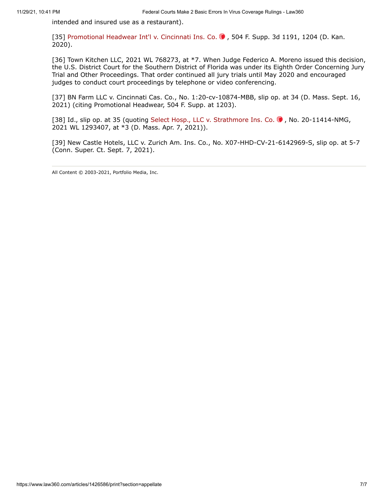intended and insured use as a restaurant).

[35] [Promotional Headwear Int'l v. Cincinnati Ins. Co.](https://advance.lexis.com/api/search?q=2020%20U.S.%20Dist.%20LEXIS%20228093&qlang=bool&origination=law360&internalOrigination=article_id%3D1426586%3Bcitation%3D2020%20U.S.%20Dist.%20LEXIS%20228093&originationDetail=headline%3DFederal%20Courts%20Make%202%20Basic%20Errors%20In%20Virus%20Coverage%20Rulings&) O, 504 F. Supp. 3d 1191, 1204 (D. Kan. 2020).

[36] Town Kitchen LLC, 2021 WL 768273, at \*7. When Judge Federico A. Moreno issued this decision, the U.S. District Court for the Southern District of Florida was under its Eighth Order Concerning Jury Trial and Other Proceedings. That order continued all jury trials until May 2020 and encouraged judges to conduct court proceedings by telephone or video conferencing.

[37] BN Farm LLC v. Cincinnati Cas. Co., No. 1:20-cv-10874-MBB, slip op. at 34 (D. Mass. Sept. 16, 2021) (citing Promotional Headwear, 504 F. Supp. at 1203).

[38] Id., slip op. at 35 (quoting Select Hosp., LLC v. Strathmore Ins. Co. O, No. 20-11414-NMG, 2021 WL 1293407, at \*3 (D. Mass. Apr. 7, 2021)).

[39] New Castle Hotels, LLC v. Zurich Am. Ins. Co., No. X07-HHD-CV-21-6142969-S, slip op. at 5-7 (Conn. Super. Ct. Sept. 7, 2021).

All Content © 2003-2021, Portfolio Media, Inc.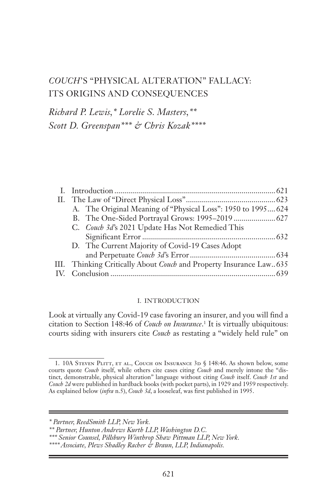# *COUCH*'S "PHYSICAL ALTERATION" FALLACY: ITS ORIGINS AND CONSEQUENCES

*Richard P. Lewis,\* Lorelie S. Masters,\*\* Scott D. Greenspan\*\*\* & Chris Kozak\*\*\*\**

| A. The Original Meaning of "Physical Loss": 1950 to 1995 624        |
|---------------------------------------------------------------------|
|                                                                     |
| C. Couch 3d's 2021 Update Has Not Remedied This                     |
|                                                                     |
| D. The Current Majority of Covid-19 Cases Adopt                     |
|                                                                     |
| III. Thinking Critically About Couch and Property Insurance Law 635 |
|                                                                     |

### I. INTRODUCTION

Look at virtually any Covid-19 case favoring an insurer, and you will find a citation to Section 148:46 of *Couch on Insurance*.<sup>1</sup> It is virtually ubiquitous: courts siding with insurers cite *Couch* as restating a "widely held rule" on

<sup>1. 10</sup>A STEVEN PLITT, ET AL., COUCH ON INSURANCE 3D § 148:46. As shown below, some courts quote *Couch* itself, while others cite cases citing *Couch* and merely intone the "distinct, demonstrable, physical alteration" language without citing *Couch* itself. *Couch 1st* and *Couch 2d* were published in hardback books (with pocket parts), in 1929 and 1959 respectively. As explained below (*infra* n.5), *Couch 3d*, a looseleaf, was first published in 1995.

*<sup>\*</sup> Partner, ReedSmith LLP, New York.*

*<sup>\*\*</sup> Partner, Hunton Andrews Kurth LLP, Washington D.C.*

*<sup>\*\*\*</sup> Senior Counsel, Pillsbury Winthrop Shaw Pittman LLP, New York.*

*<sup>\*\*\*\*</sup> Associate, Plews Shadley Racher & Braun, LLP, Indianapolis.*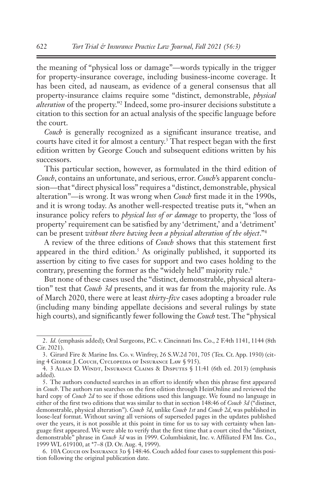the meaning of "physical loss or damage"—words typically in the trigger for property-insurance coverage, including business-income coverage. It has been cited, ad nauseam, as evidence of a general consensus that all property-insurance claims require some "distinct, demonstrable, *physical alteration* of the property."2 Indeed, some pro-insurer decisions substitute a citation to this section for an actual analysis of the specific language before the court.

*Couch* is generally recognized as a significant insurance treatise, and courts have cited it for almost a century.3 That respect began with the first edition written by George Couch and subsequent editions written by his successors.

This particular section, however, as formulated in the third edition of *Couch*, contains an unfortunate, and serious, error. *Couch*'s apparent conclusion—that "direct physical loss" requires a "distinct, demonstrable, physical alteration"—is wrong. It was wrong when *Couch* first made it in the 1990s, and it is wrong today. As another well-respected treatise puts it, "when an insurance policy refers to *physical loss of or damage* to property, the 'loss of property' requirement can be satisfied by any 'detriment,' and a 'detriment' can be present *without there having been a physical alteration of the object*."4

A review of the three editions of *Couch* shows that this statement first appeared in the third edition.<sup>5</sup> As originally published, it supported its assertion by citing to five cases for support and two cases holding to the contrary, presenting the former as the "widely held" majority rule.<sup>6</sup>

But none of these cases used the "distinct, demonstrable, physical alteration" test that *Couch 3d* presents, and it was far from the majority rule. As of March 2020, there were at least *thirty-five* cases adopting a broader rule (including many binding appellate decisions and several rulings by state high courts), and significantly fewer following the *Couch* test. The "physical

<sup>2.</sup> *Id.* (emphasis added); Oral Surgeons, P.C. v. Cincinnati Ins. Co., 2 F.4th 1141, 1144 (8th Cir. 2021).

<sup>3.</sup> Girard Fire & Marine Ins. Co. v. Winfrey, 26 S.W.2d 701, 705 (Tex. Ct. App. 1930) (citing 4 George J. Couch, Cyclopedia of Insurance Law § 915).

<sup>4.</sup> 3 Allan D. Windt, Insurance Claims & Disputes § 11:41 (6th ed. 2013) (emphasis added).

<sup>5.</sup> The authors conducted searches in an effort to identify when this phrase first appeared in *Couch*. The authors ran searches on the first edition through HeinOnline and reviewed the hard copy of *Couch 2d* to see if those editions used this language. We found no language in either of the first two editions that was similar to that in section 148:46 of *Couch 3d* ("distinct, demonstrable, physical alteration"). *Couch 3d*, unlike *Couch 1st* and *Couch 2d*, was published in loose-leaf format. Without saving all versions of superseded pages in the updates published over the years, it is not possible at this point in time for us to say with certainty when language first appeared. We were able to verify that the first time that a court cited the "distinct, demonstrable" phrase in *Couch 3d* was in 1999. Columbiaknit, Inc. v. Affiliated FM Ins. Co., 1999 WL 619100, at \*7–8 (D. Or. Aug. 4, 1999).

<sup>6. 10</sup>A Couch on Insurance  $3p \n\in \text{148:46}$ . Couch added four cases to supplement this position following the original publication date.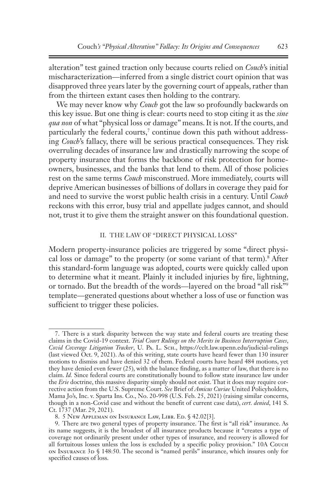alteration" test gained traction only because courts relied on *Couch*'s initial mischaracterization—inferred from a single district court opinion that was disapproved three years later by the governing court of appeals, rather than from the thirteen extant cases then holding to the contrary.

We may never know why *Couch* got the law so profoundly backwards on this key issue. But one thing is clear: courts need to stop citing it as the *sine qua non* of what "physical loss or damage" means. It is not. If the courts, and particularly the federal courts,<sup>7</sup> continue down this path without addressing *Couch*'s fallacy, there will be serious practical consequences. They risk overruling decades of insurance law and drastically narrowing the scope of property insurance that forms the backbone of risk protection for homeowners, businesses, and the banks that lend to them. All of those policies rest on the same terms *Couch* misconstrued. More immediately, courts will deprive American businesses of billions of dollars in coverage they paid for and need to survive the worst public health crisis in a century. Until *Couch* reckons with this error, busy trial and appellate judges cannot, and should not, trust it to give them the straight answer on this foundational question.

#### II. THE LAW OF "DIRECT PHYSICAL LOSS"

Modern property-insurance policies are triggered by some "direct physical loss or damage" to the property (or some variant of that term).<sup>8</sup> After this standard-form language was adopted, courts were quickly called upon to determine what it meant. Plainly it included injuries by fire, lightning, or tornado. But the breadth of the words—layered on the broad "all risk"9 template—generated questions about whether a loss of use or function was sufficient to trigger these policies.

<sup>7.</sup> There is a stark disparity between the way state and federal courts are treating these claims in the Covid-19 context. *Trial Court Rulings on the Merits in Business Interruption Cases*, *Covid Coverage Litigation Tracker*, U. Pa. L. Sch., https://cclt.law.upenn.edu/judicial-rulings (last viewed Oct. 9, 2021). As of this writing, state courts have heard fewer than 130 insurer motions to dismiss and have denied 32 of them. Federal courts have heard 484 motions, yet they have denied even fewer (25), with the balance finding, as a matter of law, that there is no claim. *Id.* Since federal courts are constitutionally bound to follow state insurance law under the *Erie* doctrine, this massive disparity simply should not exist. That it does may require corrective action from the U.S. Supreme Court. *See* Brief of *Amicus Curiae* United Policyholders, Mama Jo's, Inc. v. Sparta Ins. Co., No. 20-998 (U.S. Feb. 25, 2021) (raising similar concerns, though in a non-Covid case and without the benefit of current case data), *cert. denied*, 141 S. Ct. 1737 (Mar. 29, 2021).

<sup>8. 5</sup> New Appleman on Insurance Law, Libr. Ed. § 42.02[3].

<sup>9.</sup> There are two general types of property insurance. The first is "all risk" insurance. As its name suggests, it is the broadest of all insurance products because it "creates a type of coverage not ordinarily present under other types of insurance, and recovery is allowed for all fortuitous losses unless the loss is excluded by a specific policy provision." 10A Couch on Insurance 3d § 148:50. The second is "named perils" insurance, which insures only for specified causes of loss.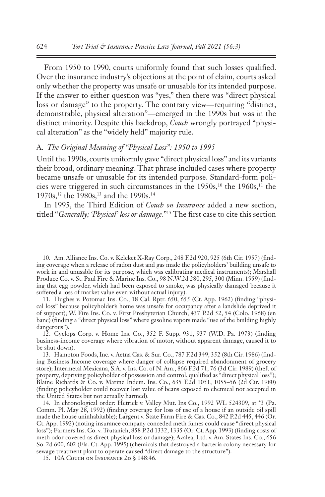From 1950 to 1990, courts uniformly found that such losses qualified. Over the insurance industry's objections at the point of claim, courts asked only whether the property was unsafe or unusable for its intended purpose. If the answer to either question was "yes," then there was "direct physical loss or damage" to the property. The contrary view—requiring "distinct, demonstrable, physical alteration"—emerged in the 1990s but was in the distinct minority. Despite this backdrop, *Couch* wrongly portrayed "physical alteration" as the "widely held" majority rule.

#### A. *The Original Meaning of "Physical Loss": 1950 to 1995*

Until the 1990s, courts uniformly gave "direct physical loss" and its variants their broad, ordinary meaning. That phrase included cases where property became unsafe or unusable for its intended purpose. Standard-form policies were triggered in such circumstances in the 1950s,<sup>10</sup> the 1960s,<sup>11</sup> the 1970s,<sup>12</sup> the 1980s,<sup>13</sup> and the 1990s.<sup>14</sup>

In 1995, the Third Edition of *Couch on Insurance* added a new section, titled "*Generally; 'Physical' loss or damage*."15 The first case to cite this section

<sup>10.</sup> Am. Alliance Ins. Co. v. Keleket X-Ray Corp., 248 F.2d 920, 925 (6th Cir. 1957) (finding coverage when a release of radon dust and gas made the policyholders' building unsafe to work in and unusable for its purpose, which was calibrating medical instruments); Marshall Produce Co. v. St. Paul Fire & Marine Ins. Co., 98 N.W.2d 280, 295, 300 (Minn. 1959) (finding that egg powder, which had been exposed to smoke, was physically damaged because it suffered a loss of market value even without actual injury).

<sup>11.</sup> Hughes v. Potomac Ins. Co., 18 Cal. Rptr. 650, 655 (Ct. App. 1962) (finding "physical loss" because policyholder's home was unsafe for occupancy after a landslide deprived it of support); W. Fire Ins. Co. v. First Presbyterian Church, 437 P.2d 52, 54 (Colo. 1968) (en banc) (finding a "direct physical loss" where gasoline vapors made "use of the building highly dangerous").

<sup>12.</sup> Cyclops Corp. v. Home Ins. Co., 352 F. Supp. 931, 937 (W.D. Pa. 1973) (finding business-income coverage where vibration of motor, without apparent damage, caused it to be shut down).

<sup>13.</sup> Hampton Foods, Inc. v. Aetna Cas. & Sur. Co., 787 F.2d 349, 352 (8th Cir. 1986) (finding Business Income coverage where danger of collapse required abandonment of grocery store); Intermetal Mexicana, S.A. v. Ins. Co. of N. Am., 866 F.2d 71, 76 (3d Cir. 1989) (theft of property, depriving policyholder of possession and control, qualified as "direct physical loss"); Blaine Richards & Co. v. Marine Indem. Ins. Co., 635 F.2d 1051, 1055–56 (2d Cir. 1980) (finding policyholder could recover lost value of beans exposed to chemical not accepted in the United States but not actually harmed).

<sup>14.</sup> In chronological order: Hetrick v. Valley Mut. Ins Co., 1992 WL 524309, at \*3 (Pa. Comm. Pl. May 28, 1992) (finding coverage for loss of use of a house if an outside oil spill made the house uninhabitable); Largent v. State Farm Fire & Cas. Co., 842 P.2d 445, 446 (Or. Ct. App. 1992) (noting insurance company conceded meth fumes could cause "direct physical loss"); Farmers Ins. Co. v. Trutanich, 858 P.2d 1332, 1335 (Or. Ct. App. 1993) (finding costs of meth odor covered as direct physical loss or damage); Azalea, Ltd. v. Am. States Ins. Co., 656 So. 2d 600, 602 (Fla. Ct. App. 1995) (chemicals that destroyed a bacteria colony necessary for sewage treatment plant to operate caused "direct damage to the structure").

<sup>15. 10</sup>A COUCH ON INSURANCE 2D § 148:46.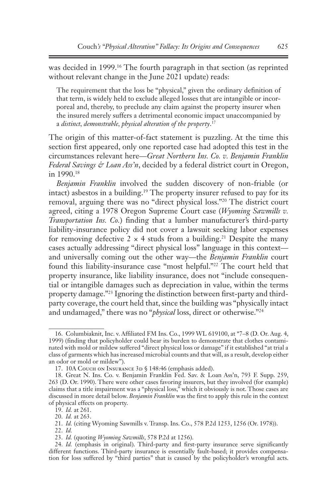was decided in 1999.16 The fourth paragraph in that section (as reprinted without relevant change in the June 2021 update) reads:

The requirement that the loss be "physical," given the ordinary definition of that term, is widely held to exclude alleged losses that are intangible or incorporeal and, thereby, to preclude any claim against the property insurer when the insured merely suffers a detrimental economic impact unaccompanied by a *distinct, demonstrable, physical alteration of the property*. 17

The origin of this matter-of-fact statement is puzzling. At the time this section first appeared, only one reported case had adopted this test in the circumstances relevant here—*Great Northern Ins. Co. v. Benjamin Franklin Federal Savings & Loan Ass'n*, decided by a federal district court in Oregon, in 1990.18

*Benjamin Franklin* involved the sudden discovery of non-friable (or intact) asbestos in a building.19 The property insurer refused to pay for its removal, arguing there was no "direct physical loss."20 The district court agreed, citing a 1978 Oregon Supreme Court case (*Wyoming Sawmills v. Transportation Ins. Co.*) finding that a lumber manufacturer's third-party liability-insurance policy did not cover a lawsuit seeking labor expenses for removing defective  $2 \times 4$  studs from a building.<sup>21</sup> Despite the many cases actually addressing "direct physical loss" language in this context and universally coming out the other way—the *Benjamin Franklin* court found this liability-insurance case "most helpful."22 The court held that property insurance, like liability insurance, does not "include consequential or intangible damages such as depreciation in value, within the terms property damage."23 Ignoring the distinction between first-party and thirdparty coverage, the court held that, since the building was "physically intact and undamaged," there was no "*physical* loss, direct or otherwise."24

<sup>16.</sup> Columbiaknit, Inc. v. Affiliated FM Ins. Co., 1999 WL 619100, at \*7–8 (D. Or. Aug. 4, 1999) (finding that policyholder could bear its burden to demonstrate that clothes contaminated with mold or mildew suffered "direct physical loss or damage" if it established "at trial a class of garments which has increased microbial counts and that will, as a result, develop either an odor or mold or mildew").

<sup>17. 10</sup>A Couch on Insurance 3D § 148:46 (emphasis added).

<sup>18.</sup> Great N. Ins. Co. v. Benjamin Franklin Fed. Sav. & Loan Ass'n, 793 F. Supp. 259, 263 (D. Or. 1990). There were other cases favoring insurers, but they involved (for example) claims that a title impairment was a "physical loss," which it obviously is not. Those cases are discussed in more detail below. *Benjamin Franklin* was the first to apply this rule in the context of physical effects on property.

<sup>19.</sup> *Id.* at 261.

<sup>20.</sup> *Id.* at 263.

<sup>21.</sup> *Id.* (citing Wyoming Sawmills v. Transp. Ins. Co., 578 P.2d 1253, 1256 (Or. 1978)).

<sup>22.</sup> *Id.*

<sup>23.</sup> *Id.* (quoting *Wyoming Sawmills*, 578 P.2d at 1256).

<sup>24.</sup> *Id.* (emphasis in original). Third-party and first-party insurance serve significantly different functions. Third-party insurance is essentially fault-based; it provides compensation for loss suffered by "third parties" that is caused by the policyholder's wrongful acts.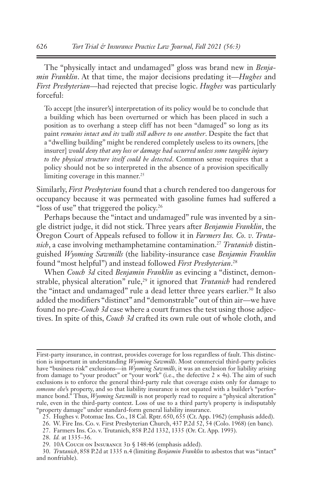The "physically intact and undamaged" gloss was brand new in *Benjamin Franklin*. At that time, the major decisions predating it—*Hughes* and *First Presbyterian*—had rejected that precise logic. *Hughes* was particularly forceful:

To accept [the insurer's] interpretation of its policy would be to conclude that a building which has been overturned or which has been placed in such a position as to overhang a steep cliff has not been "damaged" so long as its paint *remains intact and its walls still adhere to one another*. Despite the fact that a "dwelling building" might be rendered completely useless to its owners, [the insurer] *would deny that any loss or damage had occurred unless some tangible injury to the physical structure itself could be detected*. Common sense requires that a policy should not be so interpreted in the absence of a provision specifically limiting coverage in this manner.<sup>25</sup>

Similarly, *First Presbyterian* found that a church rendered too dangerous for occupancy because it was permeated with gasoline fumes had suffered a "loss of use" that triggered the policy.<sup>26</sup>

Perhaps because the "intact and undamaged" rule was invented by a single district judge, it did not stick. Three years after *Benjamin Franklin*, the Oregon Court of Appeals refused to follow it in *Farmers Ins. Co. v. Trutanich*, a case involving methamphetamine contamination.27 *Trutanich* distinguished *Wyoming Sawmills* (the liability-insurance case *Benjamin Franklin* found "most helpful") and instead followed *First Presbyterian*. 28

When *Couch 3d* cited *Benjamin Franklin* as evincing a "distinct, demonstrable, physical alteration" rule,<sup>29</sup> it ignored that *Trutanich* had rendered the "intact and undamaged" rule a dead letter three years earlier.<sup>30</sup> It also added the modifiers "distinct" and "demonstrable" out of thin air—we have found no pre*-Couch 3d* case where a court frames the test using those adjectives. In spite of this, *Couch 3d* crafted its own rule out of whole cloth, and

First-party insurance, in contrast, provides coverage for loss regardless of fault. This distinction is important in understanding *Wyoming Sawmills*. Most commercial third-party policies have "business risk" exclusions—in *Wyoming Sawmills*, it was an exclusion for liability arising from damage to "your product" or "your work" (i.e., the defective  $2 \times 4$ s). The aim of such exclusions is to enforce the general third-party rule that coverage exists only for damage to *someone else*'s property, and so that liability insurance is not equated with a builder's "performance bond.<sup>"</sup> Thus, *Wyoming Sawmills* is not properly read to require a "physical alteration" rule, even in the third-party context. Loss of use to a third party's property is indisputably "property damage" under standard-form general liability insurance.

<sup>25.</sup> Hughes v. Potomac Ins. Co., 18 Cal. Rptr. 650, 655 (Ct. App. 1962) (emphasis added).

<sup>26.</sup> W. Fire Ins. Co. v. First Presbyterian Church, 437 P.2d 52, 54 (Colo. 1968) (en banc).

<sup>27.</sup> Farmers Ins. Co. v. Trutanich, 858 P.2d 1332, 1335 (Or. Ct. App. 1993).

<sup>28.</sup> *Id.* at 1335–36.

<sup>29. 10</sup>A Couch on Insurance 3D § 148:46 (emphasis added).

<sup>30.</sup> *Trutanich*, 858 P.2d at 1335 n.4 (limiting *Benjamin Franklin* to asbestos that was "intact" and nonfriable).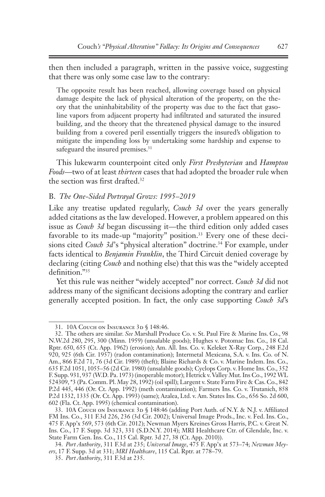then then included a paragraph, written in the passive voice, suggesting that there was only some case law to the contrary:

The opposite result has been reached, allowing coverage based on physical damage despite the lack of physical alteration of the property, on the theory that the uninhabitability of the property was due to the fact that gasoline vapors from adjacent property had infiltrated and saturated the insured building, and the theory that the threatened physical damage to the insured building from a covered peril essentially triggers the insured's obligation to mitigate the impending loss by undertaking some hardship and expense to safeguard the insured premises.<sup>31</sup>

This lukewarm counterpoint cited only *First Presbyterian* and *Hampton Foods*—two of at least *thirteen* cases that had adopted the broader rule when the section was first drafted. $32$ 

### B. *The One-Sided Portrayal Grows: 1995–2019*

Like any treatise updated regularly, *Couch 3d* over the years generally added citations as the law developed. However, a problem appeared on this issue as *Couch 3d* began discussing it—the third edition only added cases favorable to its made-up "majority" position.<sup>33</sup> Every one of these decisions cited *Couch 3d's* "physical alteration" doctrine.<sup>34</sup> For example, under facts identical to *Benjamin Franklin*, the Third Circuit denied coverage by declaring (citing *Couch* and nothing else) that this was the "widely accepted definition."35

Yet this rule was neither "widely accepted" nor correct. *Couch 3d* did not address many of the significant decisions adopting the contrary and earlier generally accepted position. In fact, the only case supporting *Couch 3d*'s

<sup>31. 10</sup>A COUCH ON INSURANCE 3D § 148:46.

<sup>32.</sup> The others are similar. *See* Marshall Produce Co. v. St. Paul Fire & Marine Ins. Co., 98 N.W.2d 280, 295, 300 (Minn. 1959) (unsalable goods); Hughes v. Potomac Ins. Co., 18 Cal. Rptr. 650, 655 (Ct. App. 1962) (erosion); Am. All. Ins. Co. v. Keleket X-Ray Corp., 248 F.2d 920, 925 (6th Cir. 1957) (radon contamination); Intermetal Mexicana, S.A. v. Ins. Co. of N. Am., 866 F.2d 71, 76 (3d Cir. 1989) (theft); Blaine Richards & Co. v. Marine Indem. Ins. Co.*,* 635 F.2d 1051, 1055–56 (2d Cir. 1980) (unsalable goods); Cyclops Corp. v. Home Ins. Co., 352 F. Supp. 931, 937 (W.D. Pa. 1973) (inoperable motor); Hetrick v. Valley Mut. Ins Co., 1992 WL 524309, \*3 (Pa. Comm. Pl. May 28, 1992) (oil spill); Largent v. State Farm Fire & Cas. Co., 842 P.2d 445, 446 (Or. Ct. App. 1992) (meth contamination); Farmers Ins. Co. v. Trutanich, 858 P.2d 1332, 1335 (Or. Ct. App. 1993) (same); Azalea, Ltd. v. Am. States Ins. Co., 656 So. 2d 600, 602 (Fla. Ct. App. 1995) (chemical contamination).

<sup>33. 10</sup>A COUCH ON INSURANCE 3D § 148:46 (adding Port Auth. of N.Y. & N.J. v. Affiliated FM Ins. Co., 311 F.3d 226, 236 (3d Cir. 2002); Universal Image Prods., Inc. v. Fed. Ins. Co., 475 F. App'x 569, 573 (6th Cir. 2012); Newman Myers Kreines Gross Harris, P.C. v. Great N. Ins. Co., 17 F. Supp. 3d 323, 331 (S.D.N.Y. 2014); MRI Healthcare Ctr. of Glendale, Inc. v. State Farm Gen. Ins. Co., 115 Cal. Rptr. 3d 27, 38 (Ct. App. 2010)).

<sup>34.</sup> *Port Authority*, 311 F.3d at 235; *Universal Image*, 475 F. App'x at 573–74; *Newman Meyers*, 17 F. Supp. 3d at 331; *MRI Healthcare*, 115 Cal. Rptr. at 778–79.

<sup>35.</sup> *Port Authority*, 311 F.3d at 235.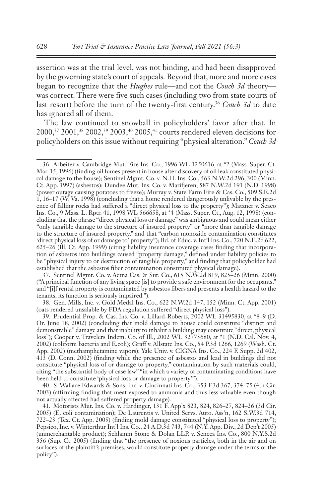assertion was at the trial level, was not binding, and had been disapproved by the governing state's court of appeals*.* Beyond that, more and more cases began to recognize that the *Hughes* rule—and not the *Couch 3d* theory was correct. There were five such cases (including two from state courts of last resort) before the turn of the twenty-first century.<sup>36</sup> *Couch 3d* to date has ignored all of them.

The law continued to snowball in policyholders' favor after that. In 2000,37 2001,38 2002,39 2003,40 2005,41 courts rendered eleven decisions for policyholders on this issue without requiring "physical alteration." *Couch 3d*

37. Sentinel Mgmt. Co. v. Aetna Cas. & Sur. Co., 615 N.W.2d 819, 825–26 (Minn. 2000) ("A principal function of any living space [is] to provide a safe environment for the occupants," and "[i]f rental property is contaminated by asbestos fibers and presents a health hazard to the tenants, its function is seriously impaired.").

38. Gen. Mills, Inc. v. Gold Medal Ins. Co., 622 N.W.2d 147, 152 (Minn. Ct. App. 2001) (oats rendered unsalable by FDA regulation suffered "direct physical loss").

40. S. Wallace Edwards & Sons, Inc. v. Cincinnati Ins. Co., 353 F.3d 367, 374–75 (4th Cir. 2003) (affirming finding that meat exposed to ammonia and thus less valuable even though not actually affected had suffered property damage).

41. Motorists Mut. Ins. Co. v. Hardinger, 131 F. App'x 823, 824, 826–27, 824–26 (3d Cir. 2005) (E. coli contamination); De Laurentis v. United Servs. Auto. Ass'n, 162 S.W.3d 714, 722–23 (Tex. Ct. App. 2005) (finding mold damage constituted "physical loss to property"); Pepsico, Inc. v. Winterthur Int'l Ins. Co., 24 A.D.3d 743, 744 (N.Y. App. Div., 2d Dep't 2005) (unmerchantable product); Schlamm Stone & Dolan LLP. v. Seneca Ins. Co., 800 N.Y.S.2d 356 (Sup. Ct. 2005) (finding that "the presence of noxious particles, both in the air and on surfaces of the plaintiff's premises, would constitute property damage under the terms of the policy").

<sup>36.</sup> Arbeiter v. Cambridge Mut. Fire Ins. Co., 1996 WL 1250616, at \*2 (Mass. Super. Ct. Mar. 15, 1996) (finding oil fumes present in house after discovery of oil leak constituted physical damage to the house); Sentinel Mgmt. Co. v. N.H. Ins. Co., 563 N.W.2d 296, 300 (Minn. Ct. App. 1997) (asbestos); Dundee Mut. Ins. Co. v. Marifjeren, 587 N.W.2d 191 (N.D. 1998) (power outage causing potatoes to freeze); Murray v. State Farm Fire & Cas. Co., 509 S.E.2d 1, 16–17 (W. Va. 1998) (concluding that a home rendered dangerously unlivable by the presence of falling rocks had suffered a "direct physical loss to the property"); Matzner v. Seaco Ins. Co., 9 Mass. L. Rptr. 41, 1998 WL 566658, at \*4 (Mass. Super. Ct., Aug. 12, 1998) (concluding that the phrase "direct physical loss or damage" was ambiguous and could mean either "only tangible damage to the structure of insured property" or "more than tangible damage to the structure of insured property," and that "carbon monoxide contamination constitutes 'direct physical loss of or damage to' property"); Bd. of Educ. v. Int'l Ins. Co., 720 N.E.2d 622, 625–26 (Ill. Ct. App. 1999) (citing liability insurance coverage cases finding that incorporation of asbestos into buildings caused "property damage," defined under liability policies to be "physical injury to or destruction of tangible property," and finding that policyholder had established that the asbestos fiber contamination constituted physical damage).

<sup>39.</sup> Prudential Prop. & Cas. Ins. Co. v. Lillard-Roberts, 2002 WL 31495830, at \*8–9 (D. Or. June 18, 2002) (concluding that mold damage to house could constitute "distinct and demonstrable" damage and that inability to inhabit a building may constitute "direct, physical loss"); Cooper v. Travelers Indem. Co. of Ill., 2002 WL 32775680, at \*1 (N.D. Cal. Nov. 4, 2002) (coliform bacteria and E.coli); Graff v. Allstate Ins. Co., 54 P.3d 1266, 1269 (Wash. Ct. App. 2002) (methamphetamine vapors); Yale Univ. v. CIGNA Ins. Co., 224 F. Supp. 2d 402, 413 (D. Conn. 2002) (finding while the presence of asbestos and lead in buildings did not constitute "physical loss of or damage to property," contamination by such materials could, citing "the substantial body of case law" "in which a variety of contaminating conditions have been held to constitute 'physical loss or damage to property'").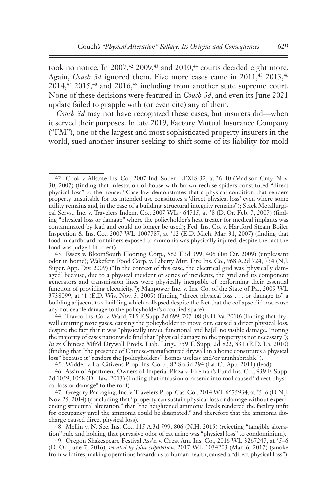took no notice. In 2007, $42$  2009, $43$  and 2010, $44$  courts decided eight more. Again, *Couch 3d* ignored them. Five more cases came in 2011,<sup>45</sup> 2013,<sup>46</sup>  $2014<sup>47</sup>$ ,  $2015<sup>48</sup>$  and  $2016<sup>49</sup>$  including from another state supreme court. None of these decisions were featured in *Couch 3d*, and even its June 2021 update failed to grapple with (or even cite) any of them.

*Couch 3d* may not have recognized these cases, but insurers did—when it served their purposes. In late 2019, Factory Mutual Insurance Company ("FM"), one of the largest and most sophisticated property insurers in the world, sued another insurer seeking to shift some of its liability for mold

45. Widder v. La. Citizens Prop. Ins. Corp., 82 So.3d 294 (La. Ct. App. 2011) (lead).

46. Ass'n of Apartment Owners of Imperial Plaza v. Fireman's Fund Ins. Co., 939 F. Supp. 2d 1059, 1068 (D. Haw. 2013) (finding that intrusion of arsenic into roof caused "direct physical loss or damage" to the roof).

47. Gregory Packaging, Inc. v. Travelers Prop. Cas. Co., 2014 WL 6675934, at \*5–6 (D.N.J. Nov. 25, 2014) (concluding that "property can sustain physical loss or damage without experiencing structural alteration," that "the heightened ammonia levels rendered the facility unfit for occupancy until the ammonia could be dissipated," and therefore that the ammonia discharge caused direct physical loss).

48. Mellin v. N. Sec. Ins. Co., 115 A.3d 799, 806 (N.H. 2015) (rejecting "tangible alteration" rule and holding that pervasive odor of cat urine was "physical loss" to condominium).

49. Oregon Shakespeare Festival Ass'n v. Great Am. Ins. Co., 2016 WL 3267247, at \*5–6 (D. Or. June 7, 2016), *vacated by joint stipulation*, 2017 WL 1034203 (Mar. 6, 2017) (smoke from wildfires, making operations hazardous to human health, caused a "direct physical loss").

<sup>42.</sup> Cook v. Allstate Ins. Co., 2007 Ind. Super. LEXIS 32, at \*6–10 (Madison Cnty. Nov. 30, 2007) (finding that infestation of house with brown recluse spiders constituted "direct physical loss" to the house: "Case law demonstrates that a physical condition that renders property unsuitable for its intended use constitutes a 'direct physical loss' even where some utility remains and, in the case of a building, structural integrity remains"); Stack Metallurgical Servs., Inc. v. Travelers Indem. Co., 2007 WL 464715, at \*8 (D. Or. Feb. 7, 2007) (finding "physical loss or damage" where the policyholder's heat treater for medical implants was contaminated by lead and could no longer be used); Fed. Ins. Co. v. Hartford Steam Boiler Inspection & Ins. Co., 2007 WL 1007787, at \*12 (E.D. Mich. Mar. 31, 2007) (finding that food in cardboard containers exposed to ammonia was physically injured, despite the fact the food was judged fit to eat).

<sup>43.</sup> Essex v. BloomSouth Flooring Corp., 562 F.3d 399, 406 (1st Cir. 2009) (unpleasant odor in home); Wakefern Food Corp. v. Liberty Mut. Fire Ins. Co., 968 A.2d 724, 734 (N.J. Super. App. Div. 2009) ("In the context of this case, the electrical grid was 'physically damaged' because, due to a physical incident or series of incidents, the grid and its component generators and transmission lines were physically incapable of performing their essential function of providing electricity."); Manpower Inc. v. Ins. Co. of the State of Pa., 2009 WL  $3738099$ , at  $*1$  (E.D. Wis. Nov. 3, 2009) (finding "direct physical loss . . . or damage to" a building adjacent to a building which collapsed despite the fact that the collapse did not cause any noticeable damage to the policyholder's occupied space).

<sup>44.</sup> Travco Ins. Co. v. Ward, 715 F. Supp. 2d 699, 707–08 (E.D. Va. 2010) (finding that drywall emitting toxic gases, causing the policyholder to move out, caused a direct physical loss, despite the fact that it was "physically intact, functional and ha[d] no visible damage," noting the majority of cases nationwide find that "physical damage to the property is not necessary"); *In re* Chinese Mfr'd Drywall Prods. Liab. Litig., 759 F. Supp. 2d 822, 831 (E.D. La. 2010) (finding that "the presence of Chinese-manufactured drywall in a home constitutes a physical loss" because it "renders the [policyholders'] homes useless and/or uninhabitable").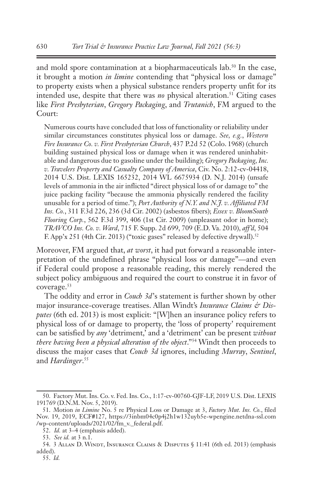and mold spore contamination at a biopharmaceuticals lab.<sup>50</sup> In the case, it brought a motion *in limine* contending that "physical loss or damage" to property exists when a physical substance renders property unfit for its intended use, despite that there was *no* physical alteration.<sup>51</sup> Citing cases like *First Presbyterian*, *Gregory Packaging*, and *Trutanich*, FM argued to the Court:

Numerous courts have concluded that loss of functionality or reliability under similar circumstances constitutes physical loss or damage. *See, e.g.*, *Western Fire Insurance Co. v. First Presbyterian Church*, 437 P.2d 52 (Colo. 1968) (church building sustained physical loss or damage when it was rendered uninhabitable and dangerous due to gasoline under the building); *Gregory Packaging, Inc. v. Travelers Property and Casualty Company of America*, Civ. No. 2:12-cv-04418, 2014 U.S. Dist. LEXIS 165232, 2014 WL 6675934 (D. N.J. 2014) (unsafe levels of ammonia in the air inflicted "direct physical loss of or damage to" the juice packing facility "because the ammonia physically rendered the facility unusable for a period of time."); *Port Authority of N.Y. and N.J. v. Affiliated FM Ins. Co.*, 311 F.3d 226, 236 (3d Cir. 2002) (asbestos fibers); *Essex v. BloomSouth Flooring Corp.*, 562 F.3d 399, 406 (1st Cir. 2009) (unpleasant odor in home); *TRAVCO Ins. Co. v. Ward*, 715 F. Supp. 2d 699, 709 (E.D. Va. 2010), *aff'd*, 504 F. App'x 251 (4th Cir. 2013) ("toxic gases" released by defective drywall).<sup>52</sup>

Moreover, FM argued that, *at worst*, it had put forward a reasonable interpretation of the undefined phrase "physical loss or damage"—and even if Federal could propose a reasonable reading, this merely rendered the subject policy ambiguous and required the court to construe it in favor of coverage.53

The oddity and error in *Couch 3d*'s statement is further shown by other major insurance-coverage treatises. Allan Windt's *Insurance Claims & Disputes* (6th ed. 2013) is most explicit: "[W]hen an insurance policy refers to physical loss of or damage to property, the 'loss of property' requirement can be satisfied by *any* 'detriment,' and a 'detriment' can be present *without there having been a physical alteration of the object*."54 Windt then proceeds to discuss the major cases that *Couch 3d* ignores, including *Murray*, *Sentinel*, and *Hardinger*. 55

<sup>50.</sup> Factory Mut. Ins. Co. v. Fed. Ins. Co., 1:17-cv-00760-GJF-LF, 2019 U.S. Dist. LEXIS 191769 (D.N.M. Nov. 5, 2019).

<sup>51.</sup> Motion *in Limine* No. 5 re Physical Loss or Damage at 3, *Factory Mut. Ins. Co.*, filed Nov. 19, 2019, ECF#127, https://3inbm04c0p4j2h1w132uyb5e-wpengine.netdna-ssl.com /wp-content/uploads/2021/02/fm\_v.\_federal.pdf.

<sup>52.</sup> *Id.* at 3–4 (emphasis added).

<sup>53.</sup> *See id.* at 3 n.1.

<sup>54.</sup> 3 Allan D. Windt, Insurance Claims & Disputes § 11:41 (6th ed. 2013) (emphasis added).

<sup>55.</sup> *Id.*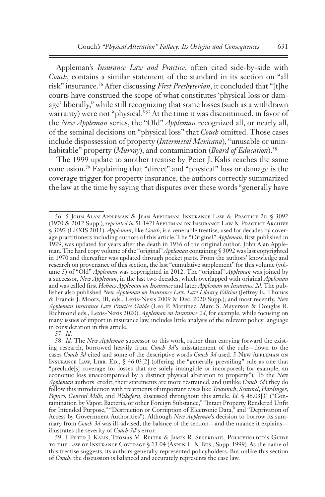Appleman's *Insurance Law and Practice*, often cited side-by-side with *Couch*, contains a similar statement of the standard in its section on "all risk" insurance.56 After discussing *First Presbyterian*, it concluded that "[t]he courts have construed the scope of what constitutes 'physical loss or damage' liberally," while still recognizing that some losses (such as a withdrawn warranty) were not "physical."57 At the time it was discontinued, in favor of the *New Appleman* series, the "Old" *Appleman* recognized all, or nearly all, of the seminal decisions on "physical loss" that *Couch* omitted. Those cases include dispossession of property (*Intermetal Mexicana*), "unusable or uninhabitable" property (*Murray*), and contamination (*Board of Education*).<sup>58</sup>

The 1999 update to another treatise by Peter J. Kalis reaches the same conclusion.59 Explaining that "direct" and "physical" loss or damage is the coverage trigger for property insurance, the authors correctly summarized the law at the time by saying that disputes over these words "generally have

<sup>56.</sup> 5 John Alan Appleman & Jean Appleman, Insurance Law & Practice 2d § 3092 (1970 & 2012 Supp.), *reprinted in* 5f-142f Appleman on Insurance Law & Practice Archive § 3092 (LEXIS 2011). *Appleman*, like *Couch*, is a venerable treatise, used for decades by coverage practitioners including authors of this article. The "Original" *Appleman*, first published in 1929, was updated for years after the death in 1936 of the original author, John Alan Appleman. The hard copy volume of the "original" *Appleman* containing § 3092 was last copyrighted in 1970 and thereafter was updated through pocket parts. From the authors' knowledge and research on provenance of this section, the last "cumulative supplement" for this volume (volume 5) of "Old" *Appleman* was copyrighted in 2012. The "original" *Appleman* was joined by a successor, *New Appleman*, in the last two decades, which overlapped with original *Appleman* and was called first *Holmes Appleman on Insurance* and later *Appleman on Insurance 2d*. The publisher also published *New Appleman on Insurance Law, Law Library Edition* (Jeffrey E. Thomas & Francis J. Mootz, III, eds., Lexis-Nexis 2009 & Dec. 2020 Supp.); and most recently, *New Appleman Insurance Law Practice Guide* (Leo P. Martinez, Marc S. Mayerson & Douglas R. Richmond eds., Lexis-Nexis 2020). *Appleman on Insurance 2d*, for example, while focusing on many issues of import in insurance law, includes little analysis of the relevant policy language in consideration in this article.

<sup>57.</sup> *Id.*

<sup>58.</sup> *Id.* The *New Appleman* successor to this work, rather than carrying forward the existing research, borrowed heavily from *Couch 3d*'s misstatement of the rule—down to the cases *Couch 3d* cited and some of the descriptive words *Couch 3d* used. 5 New Appleman on INSURANCE LAW, LIBR. ED., § 46.03[2] (offering the "generally prevailing" rule as one that "preclude[s] coverage for losses that are solely intangible or incorporeal; for example, an economic loss unaccompanied by a distinct physical alteration to property"). To the *New Appleman* authors' credit, their statements are more restrained, and (unlike *Couch 3d*) they do follow this introduction with treatments of important cases like *Trutanich*, *Sentinel*, *Hardinger*, *Pepsico*, *General Mills*, and *Wakefern*, discussed throughout this article. *Id.* § 46.03[3] ("Contamination by Vapor, Bacteria, or other Foreign Substance," "Intact Property Rendered Unfit for Intended Purpose," "Destruction or Corruption of Electronic Data," and "Deprivation of Access by Government Authorities"). Although *New Appleman*'s decision to borrow its summary from *Couch 3d* was ill-advised, the balance of the section—and the nuance it explains illustrates the severity of *Couch 3d*'s error.

<sup>59.</sup> I Peter J. Kalis, Thomas M. Reiter & James R. Segerdahl, Policyholder's Guide TO THE LAW OF INSURANCE COVERAGE § 13.04 (ASPEN L. & Bus., Supp. 1999). As the name of this treatise suggests, its authors generally represented policyholders. But unlike this section of *Couch*, the discussion is balanced and accurately represents the case law.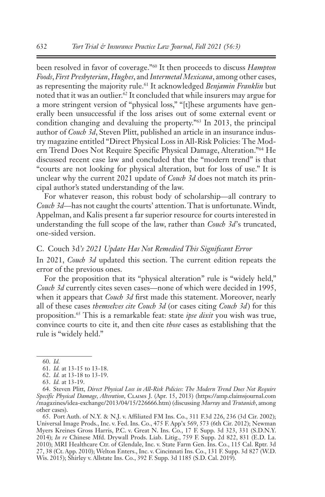been resolved in favor of coverage."60 It then proceeds to discuss *Hampton Foods*, *First Presbyterian*, *Hughes*, and *Intermetal Mexicana*, among other cases, as representing the majority rule.61 It acknowledged *Benjamin Franklin* but noted that it was an outlier.<sup>62</sup> It concluded that while insurers may argue for a more stringent version of "physical loss," "[t]hese arguments have generally been unsuccessful if the loss arises out of some external event or condition changing and devaluing the property."63 In 2013, the principal author of *Couch 3d*, Steven Plitt, published an article in an insurance industry magazine entitled "Direct Physical Loss in All-Risk Policies: The Modern Trend Does Not Require Specific Physical Damage, Alteration."64 He discussed recent case law and concluded that the "modern trend" is that "courts are not looking for physical alteration, but for loss of use." It is unclear why the current 2021 update of *Couch 3d* does not match its principal author's stated understanding of the law.

For whatever reason, this robust body of scholarship—all contrary to *Couch 3d*—has not caught the courts' attention. That is unfortunate. Windt, Appelman, and Kalis present a far superior resource for courts interested in understanding the full scope of the law, rather than *Couch 3d*'s truncated, one-sided version.

### C. Couch 3d*'s 2021 Update Has Not Remedied This Significant Error*

In 2021, *Couch 3d* updated this section. The current edition repeats the error of the previous ones.

For the proposition that its "physical alteration" rule is "widely held," *Couch 3d* currently cites seven cases—none of which were decided in 1995, when it appears that *Couch 3d* first made this statement. Moreover, nearly all of these cases *themselves cite Couch 3d* (or cases citing *Couch 3d*) for this proposition.65 This is a remarkable feat: state *ipse dixit* you wish was true, convince courts to cite it, and then cite *those* cases as establishing that the rule is "widely held."

65. Port Auth. of N.Y. & N.J. v. Affiliated FM Ins. Co., 311 F.3d 226, 236 (3d Cir. 2002); Universal Image Prods., Inc. v. Fed. Ins. Co., 475 F. App'x 569, 573 (6th Cir. 2012); Newman Myers Kreines Gross Harris, P.C. v. Great N. Ins. Co., 17 F. Supp. 3d 323, 331 (S.D.N.Y. 2014); *In re* Chinese Mfd. Drywall Prods. Liab. Litig., 759 F. Supp. 2d 822, 831 (E.D. La. 2010); MRI Healthcare Ctr. of Glendale, Inc. v. State Farm Gen. Ins. Co., 115 Cal. Rptr. 3d 27, 38 (Ct. App. 2010); Welton Enters., Inc. v. Cincinnati Ins. Co., 131 F. Supp. 3d 827 (W.D. Wis. 2015); Shirley v. Allstate Ins. Co., 392 F. Supp. 3d 1185 (S.D. Cal. 2019).

<sup>60.</sup> *Id.*

<sup>61.</sup> *Id.* at 13-15 to 13-18.

<sup>62.</sup> *Id.* at 13-18 to 13-19.

<sup>63.</sup> *Id.* at 13-19.

<sup>64.</sup> Steven Plitt, *Direct Physical Loss in All-Risk Policies: The Modern Trend Does Not Require Specific Physical Damage, Alteration*, Claims J. (Apr. 15, 2013) (https://amp.claimsjournal.com /magazines/idea-exchange/2013/04/15/226666.htm) (discussing *Murray* and *Trutanich*, among other cases).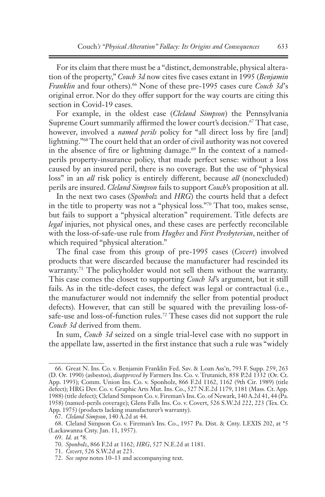For its claim that there must be a "distinct, demonstrable, physical alteration of the property," *Couch 3d* now cites five cases extant in 1995 (*Benjamin Franklin* and four others).<sup>66</sup> None of these pre-1995 cases cure *Couch 3d's* original error. Nor do they offer support for the way courts are citing this section in Covid-19 cases.

For example, in the oldest case (*Cleland Simpson*) the Pennsylvania Supreme Court summarily affirmed the lower court's decision.<sup>67</sup> That case, however, involved a *named perils* policy for "all direct loss by fire [and] lightning."68 The court held that an order of civil authority was not covered in the absence of fire or lightning damage.<sup> $69$ </sup> In the context of a namedperils property-insurance policy, that made perfect sense: without a loss caused by an insured peril, there is no coverage. But the use of "physical loss" in an *all* risk policy is entirely different, because *all* (nonexcluded) perils are insured. *Cleland Simpson* fails to support *Couch*'s proposition at all.

In the next two cases (*Sponholz* and *HRG*) the courts held that a defect in the title to property was not a "physical loss."70 That too, makes sense, but fails to support a "physical alteration" requirement. Title defects are *legal* injuries, not physical ones, and these cases are perfectly reconcilable with the loss-of-safe-use rule from *Hughes* and *First Presbyterian*, neither of which required "physical alteration."

The final case from this group of pre-1995 cases (*Covert*) involved products that were discarded because the manufacturer had rescinded its warranty.<sup>71</sup> The policyholder would not sell them without the warranty. This case comes the closest to supporting *Couch 3d*'s argument, but it still fails. As in the title-defect cases, the defect was legal or contractual (i.e., the manufacturer would not indemnify the seller from potential product defects). However, that can still be squared with the prevailing loss-ofsafe-use and loss-of-function rules.<sup>72</sup> These cases did not support the rule *Couch 3d* derived from them.

In sum, *Couch 3d* seized on a single trial-level case with no support in the appellate law, asserted in the first instance that such a rule was "widely

<sup>66.</sup> Great N. Ins. Co. v. Benjamin Franklin Fed. Sav. & Loan Ass'n, 793 F. Supp. 259, 263 (D. Or. 1990) (asbestos), *disapproved by* Farmers Ins. Co. v. Trutanich, 858 P.2d 1332 (Or. Ct. App. 1993); Comm. Union Ins. Co. v. Sponholz, 866 F.2d 1162, 1162 (9th Cir. 1989) (title defect); HRG Dev. Co. v. Graphic Arts Mut. Ins. Co., 527 N.E.2d 1179, 1181 (Mass. Ct. App. 1988) (title defect); Cleland Simpson Co. v. Fireman's Ins. Co. of Newark, 140 A.2d 41, 44 (Pa. 1958) (named-perils coverage); Glens Falls Ins. Co. v. Covert, 526 S.W.2d 222, 223 (Tex. Ct. App. 1975) (products lacking manufacturer's warranty).

<sup>67.</sup> *Cleland Simpson*, 140 A.2d at 44.

<sup>68.</sup> Cleland Simpson Co. v. Fireman's Ins. Co., 1957 Pa. Dist. & Cnty. LEXIS 202, at \*5 (Lackawanna Cnty. Jan. 11, 1957).

<sup>69.</sup> *Id.* at \*8.

<sup>70.</sup> *Sponholz*, 866 F.2d at 1162; *HRG*, 527 N.E.2d at 1181.

<sup>71.</sup> *Covert*, 526 S.W.2d at 223.

<sup>72.</sup> *See supra* notes 10–13 and accompanying text.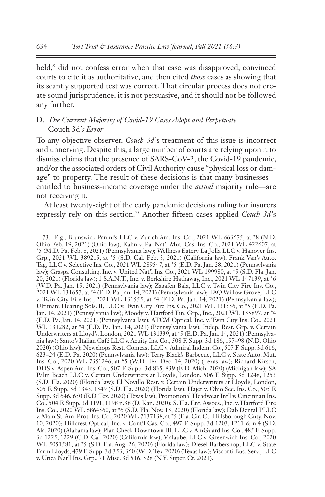held," did not confess error when that case was disapproved, convinced courts to cite it as authoritative, and then cited *those* cases as showing that its scantly supported test was correct. That circular process does not create sound jurisprudence, it is not persuasive, and it should not be followed any further.

## D. *The Current Majority of Covid-19 Cases Adopt and Perpetuate*  Couch 3d*'s Error*

To any objective observer, *Couch 3d*'s treatment of this issue is incorrect and unnerving. Despite this, a large number of courts are relying upon it to dismiss claims that the presence of SARS-CoV-2, the Covid-19 pandemic, and/or the associated orders of Civil Authority cause "physical loss or damage" to property. The result of these decisions is that many businesses entitled to business-income coverage under the *actual* majority rule—are not receiving it.

At least twenty-eight of the early pandemic decisions ruling for insurers expressly rely on this section.73 Another fifteen cases applied *Couch 3d*'s

<sup>73.</sup> E.g., Brunswick Panini's LLC v. Zurich Am. Ins. Co., 2021 WL 663675, at \*8 (N.D. Ohio Feb. 19, 2021) (Ohio law); Kahn v. Pa. Nat'l Mut. Cas. Ins. Co., 2021 WL 422607, at \*5 (M.D. Pa. Feb. 8, 2021) (Pennsylvania law); Wellness Eatery La Jolla LLC v. Hanover Ins. Grp., 2021 WL 389215, at \*5 (S.D. Cal. Feb. 3, 2021) (California law); Frank Van's Auto. Tag, LLC v. Selective Ins. Co., 2021 WL 289547, at \*5 (E.D. Pa. Jan. 28, 2021) (Pennsylvania law); Graspa Consulting, Inc. v. United Nat'l Ins. Co., 2021 WL 199980, at \*5 (S.D. Fla. Jan. 20, 2021) (Florida law); 1 S.A.N.T., Inc. v. Berkshire Hathaway, Inc., 2021 WL 147139, at \*6 (W.D. Pa. Jan. 15, 2021) (Pennsylvania law); Zagafen Bala, LLC v. Twin City Fire Ins. Co., 2021 WL 131657, at \*4 (E.D. Pa. Jan. 14, 2021) (Pennsylvania law); TAQ Willow Grove, LLC v. Twin City Fire Ins., 2021 WL 131555, at \*4 (E.D. Pa. Jan. 14, 2021) (Pennsylvania law); Ultimate Hearing Sols. II, LLC v. Twin City Fire Ins. Co., 2021 WL 131556, at \*5 (E.D. Pa. Jan. 14, 2021) (Pennsylvania law); Moody v. Hartford Fin. Grp., Inc., 2021 WL 135897, at \*4 (E.D. Pa. Jan. 14, 2021) (Pennsylvania law); ATCM Optical, Inc. v. Twin City Ins. Co., 2021 WL 131282, at \*4 (E.D. Pa. Jan. 14, 2021) (Pennsylvania law); Indep. Rest. Grp. v. Certain Underwriters at Lloyd's, London, 2021 WL 131339, at \*5 (E.D. Pa. Jan. 14, 2021) (Pennsylvania law); Santo's Italian Café LLC v. Acuity Ins. Co., 508 F. Supp. 3d 186, 197–98 (N.D. Ohio 2020) (Ohio law); Newchops Rest. Comcast LLC v. Admiral Indem. Co., 507 F. Supp. 3d 616, 623–24 (E.D. Pa. 2020) (Pennsylvania law); Terry Black's Barbecue, LLC v. State Auto. Mut. Ins. Co., 2020 WL 7351246, at \*5 (W.D. Tex. Dec. 14, 2020) (Texas law); Richard Kirsch, DDS v. Aspen Am. Ins. Co., 507 F. Supp. 3d 835, 839 (E.D. Mich. 2020) (Michigan law); SA Palm Beach LLC v. Certain Underwriters at Lloyd's, London, 506 F. Supp. 3d 1248, 1253 (S.D. Fla. 2020) (Florida law); El Novillo Rest. v. Certain Underwriters at Lloyd's, London, 505 F. Supp. 3d 1343, 1349 (S.D. Fla. 2020) (Florida law); Hajer v. Ohio Sec. Ins. Co., 505 F. Supp. 3d 646, 650 (E.D. Tex. 2020) (Texas law); Promotional Headwear Int'l v. Cincinnati Ins. Co., 504 F. Supp. 3d 1191, 1198 n.38 (D. Kan. 2020); S. Fla. Ent. Assocs., Inc. v. Hartford Fire Ins. Co., 2020 WL 6864560, at \*6 (S.D. Fla. Nov. 13, 2020) (Florida law); Dab Dental PLLC v. Main St. Am. Prot. Ins. Co., 2020 WL 7137138, at \*5 (Fla. Cir. Ct. Hillsborough Cnty. Nov. 10, 2020); Hillcrest Optical, Inc. v. Cont'l Cas. Co., 497 F. Supp. 3d 1203, 1211 & n.4 (S.D. Ala. 2020) (Alabama law); Plan Check Downtown III, LLC v. AmGuard Ins. Co., 485 F. Supp. 3d 1225, 1229 (C.D. Cal. 2020) (California law); Malaube, LLC v. Greenwich Ins. Co., 2020 WL 5051581, at \*5 (S.D. Fla. Aug. 26, 2020) (Florida law); Diesel Barbershop, LLC v. State Farm Lloyds, 479 F. Supp. 3d 353, 360 (W.D. Tex. 2020) (Texas law); Visconti Bus. Serv., LLC v. Utica Nat'l Ins. Grp., 71 Misc. 3d 516, 528 (N.Y. Super. Ct. 2021).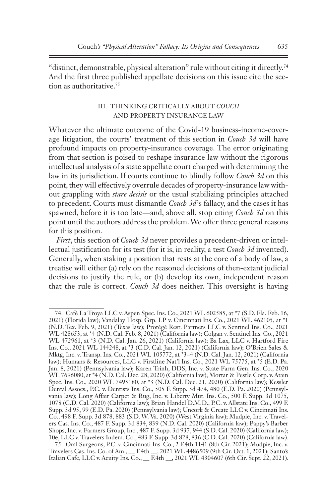"distinct, demonstrable, physical alteration" rule without citing it directly.74 And the first three published appellate decisions on this issue cite the section as authoritative.<sup>75</sup>

### III. THINKING CRITICALLY ABOUT *COUCH* AND PROPERTY INSURANCE LAW

Whatever the ultimate outcome of the Covid-19 business-income-coverage litigation, the courts' treatment of this section in *Couch 3d* will have profound impacts on property-insurance coverage. The error originating from that section is poised to reshape insurance law without the rigorous intellectual analysis of a state appellate court charged with determining the law in its jurisdiction. If courts continue to blindly follow *Couch 3d* on this point, they will effectively overrule decades of property-insurance law without grappling with *stare decisis* or the usual stabilizing principles attached to precedent. Courts must dismantle *Couch 3d*'s fallacy, and the cases it has spawned, before it is too late—and, above all, stop citing *Couch 3d* on this point until the authors address the problem. We offer three general reasons for this position.

*First*, this section of *Couch 3d* never provides a precedent-driven or intellectual justification for its test (for it is, in reality, a test *Couch 3d* invented). Generally, when staking a position that rests at the core of a body of law, a treatise will either (a) rely on the reasoned decisions of then-extant judicial decisions to justify the rule, or (b) develop its own, independent reason that the rule is correct. *Couch 3d* does neither. This oversight is having

<sup>74.</sup> Café La Troya LLC v. Aspen Spec. Ins. Co., 2021 WL 602585, at \*7 (S.D. Fla. Feb. 16, 2021) (Florida law); Vandalay Hosp. Grp. LP v. Cincinnati Ins. Co., 2021 WL 462105, at \*1 (N.D. Tex. Feb. 9, 2021) (Texas law); Protégé Rest. Partners LLC v. Sentinel Ins. Co., 2021 WL 428653, at \*4 (N.D. Cal. Feb. 8, 2021) (California law); Colgan v. Sentinel Ins. Co., 2021 WL 472961, at \*3 (N.D. Cal. Jan. 26, 2021) (California law); Ba Lax, LLC v. Hartford Fire Ins. Co., 2021 WL 144248, at \*3 (C.D. Cal. Jan. 12, 2021) (California law); O'Brien Sales & Mktg, Inc. v. Transp. Ins. Co., 2021 WL 105772, at \*3–4 (N.D. Cal. Jan. 12, 2021) (California law); Humans & Resources, LLC v. Firstline Nat'l Ins. Co., 2021 WL 75775, at \*5 (E.D. Pa. Jan. 8, 2021) (Pennsylvania law); Karen Trinh, DDS, Inc. v. State Farm Gen. Ins. Co., 2020 WL 7696080, at \*4 (N.D. Cal. Dec. 28, 2020) (California law); Mortar & Pestle Corp. v. Atain Spec. Ins. Co., 2020 WL 7495180, at \*3 (N.D. Cal. Dec. 21, 2020) (California law); Kessler Dental Assocs., P.C. v. Dentists Ins. Co., 505 F. Supp. 3d 474, 480 (E.D. Pa. 2020) (Pennsylvania law); Long Affair Carpet & Rug, Inc. v. Liberty Mut. Ins. Co., 500 F. Supp. 3d 1075, 1078 (C.D. Cal. 2020) (California law); Brian Handel D.M.D., P.C. v. Allstate Ins. Co., 499 F. Supp. 3d 95, 99 (E.D. Pa. 2020) (Pennsylvania law); Uncork & Create LLC v. Cincinnati Ins. Co., 498 F. Supp. 3d 878, 883 (S.D. W. Va. 2020) (West Virginia law); Mudpie, Inc. v. Travelers Cas. Ins. Co., 487 F. Supp. 3d 834, 839 (N.D. Cal. 2020) (California law); Pappy's Barber Shops, Inc. v. Farmers Group, Inc., 487 F. Supp. 3d 937, 944 (S.D. Cal. 2020) (California law); 10e, LLC v. Travelers Indem. Co., 483 F. Supp. 3d 828, 836 (C.D. Cal. 2020) (California law).

<sup>75.</sup> Oral Surgeons, P.C. v. Cincinnati Ins. Co., 2 F.4th 1141 (8th Cir. 2021); Mudpie, Inc. v. Travelers Cas. Ins. Co. of Am., \_\_ F.4th \_\_, 2021 WL 4486509 (9th Cir. Oct. 1, 2021); Santo's Italian Cafe, LLC v. Acuity Ins. Co., \_\_ F.4th \_\_, 2021 WL 4304607 (6th Cir. Sept. 22, 2021).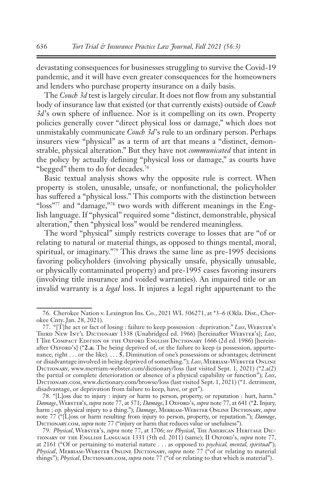devastating consequences for businesses struggling to survive the Covid-19 pandemic, and it will have even greater consequences for the homeowners and lenders who purchase property insurance on a daily basis.

The *Couch 3d* test is largely circular. It does not flow from any substantial body of insurance law that existed (or that currently exists) outside of *Couch 3d*'s own sphere of influence. Nor is it compelling on its own. Property policies generally cover "direct physical loss or damage," which does not unmistakably communicate *Couch 3d*'s rule to an ordinary person. Perhaps insurers view "physical" as a term of art that means a "distinct, demonstrable, physical alteration." But they have not *communicated* that intent in the policy by actually defining "physical loss or damage," as courts have "begged" them to do for decades.76

Basic textual analysis shows why the opposite rule is correct. When property is stolen, unusable, unsafe, or nonfunctional, the policyholder has suffered a "physical loss." This comports with the distinction between "loss"<sup>77</sup> and "damage,"<sup>78</sup> two words with different meanings in the English language. If "physical" required some "distinct, demonstrable, physical alteration," then "physical loss" would be rendered meaningless.

The word "physical" simply restricts coverage to losses that are "of or relating to natural or material things, as opposed to things mental, moral, spiritual, or imaginary."79 This draws the same line as pre-1995 decisions favoring policyholders (involving physically unsafe, physically unusable, or physically contaminated property) and pre-1995 cases favoring insurers (involving title insurance and voided warranties). An impaired title or an invalid warranty is a *legal* loss. It injures a legal right appurtenant to the

<sup>76.</sup> Cherokee Nation v. Lexington Ins. Co., 2021 WL 506271, at \*3–6 (Okla. Dist., Cherokee Cnty. Jan. 28, 2021).

<sup>77. &</sup>quot;[T]he act or fact of losing : failure to keep possession : deprivation." Loss, WEBSTER's THIRD NEW INT'L DICTIONARY 1338 (Unabridged ed. 1966) [hereinafter WEBSTER's]; *Loss*, I THE COMPACT EDITION OF THE OXFORD ENGLISH DICTIONARY 1666 (2d ed. 1986) [hereinafter Oxford's] ("2.a. The being deprived of, or the failure to keep (a possession, appurtenance, right . . . or the like). . . . **5.** Diminution of one's possessions or advantages; detriment or disadvantage involved in being deprived of something."); Loss, MERRIAM-WEBSTER ONLINE DICTIONARY, www.merriam-webster.com/dictionary/loss (last visited Sept. 1, 2021) ("2.a(2) the partial or complete deterioration or absence of a physical capability or function"); *Loss*, DICTIONARY.COM, www.dictionary.com/browse/loss (last visited Sept. 1, 2021) ("1. detriment, disadvantage, or deprivation from failure to keep, have, or get").

<sup>78.</sup> "[L]oss due to injury : injury or harm to person, property, or reputation : hurt, harm." *Damage*, Webster's, *supra* note 77, at 571; *Damage*, I Oxford's, *supra* note 77, at 641 ("**2.** Injury, harm ; esp. physical injury to a thing."); *Damage*, MERRIAM-WEBSTER ONLINE DICTIONARY, *supra* note 77 ("[L]oss or harm resulting from injury to person, property, or reputation."); *Damage*, DICTIONARY.COM, *supra* note 77 ("injury or harm that reduces value or usefulness").

<sup>79.</sup> *Physical*, Webster's, *supra* note 77, at 1706; *see Physical*, The American Heritage Dictionary of the English Language 1331 (5th ed. 2011) (same); II Oxford's, *supra* note 77, at 2161 ("Of or pertaining to material nature . . . as opposed to *psychical, mental, spiritual*"); Physical, MERRIAM-WEBSTER ONLINE DICTIONARY, *supra* note 77 ("of or relating to material things"); *Physical*, DICTIONARY.COM, *supra* note 77 ("of or relating to that which is material").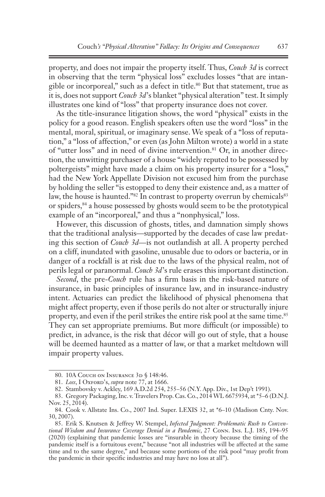property, and does not impair the property itself. Thus, *Couch 3d* is correct in observing that the term "physical loss" excludes losses "that are intangible or incorporeal," such as a defect in title.<sup>80</sup> But that statement, true as it is, does not support *Couch 3d*'s blanket "physical alteration" test. It simply illustrates one kind of "loss" that property insurance does not cover.

As the title-insurance litigation shows, the word "physical" exists in the policy for a good reason. English speakers often use the word "loss" in the mental, moral, spiritual, or imaginary sense. We speak of a "loss of reputation," a "loss of affection," or even (as John Milton wrote) a world in a state of "utter loss" and in need of divine intervention.<sup>81</sup> Or, in another direction, the unwitting purchaser of a house "widely reputed to be possessed by poltergeists" might have made a claim on his property insurer for a "loss," had the New York Appellate Division not excused him from the purchase by holding the seller "is estopped to deny their existence and, as a matter of law, the house is haunted."<sup>82</sup> In contrast to property overrun by chemicals<sup>83</sup> or spiders,84 a house possessed by ghosts would seem to be the prototypical example of an "incorporeal," and thus a "nonphysical," loss.

However, this discussion of ghosts, titles, and damnation simply shows that the traditional analysis—supported by the decades of case law predating this section of *Couch 3d*—is not outlandish at all. A property perched on a cliff, inundated with gasoline, unusable due to odors or bacteria, or in danger of a rockfall is at risk due to the laws of the physical realm, not of perils legal or paranormal. *Couch 3d*'s rule erases this important distinction.

*Second*, the pre-*Couch* rule has a firm basis in the risk-based nature of insurance, in basic principles of insurance law, and in insurance-industry intent. Actuaries can predict the likelihood of physical phenomena that might affect property, even if those perils do not alter or structurally injure property, and even if the peril strikes the entire risk pool at the same time.<sup>85</sup> They can set appropriate premiums. But more difficult (or impossible) to predict, in advance, is the risk that décor will go out of style, that a house will be deemed haunted as a matter of law, or that a market meltdown will impair property values.

<sup>80. 10</sup>A COUCH ON INSURANCE 3D § 148:46.

<sup>81.</sup> *Loss*, I Oxford's, *supra* note 77, at 1666.

<sup>82.</sup> Stambovsky v. Ackley, 169 A.D.2d 254, 255–56 (N.Y. App. Div., 1st Dep't 1991).

<sup>83.</sup> Gregory Packaging, Inc. v. Travelers Prop. Cas. Co., 2014 WL 6675934, at \*5–6 (D.N.J. Nov. 25, 2014).

<sup>84.</sup> Cook v. Allstate Ins. Co., 2007 Ind. Super. LEXIS 32, at \*6–10 (Madison Cnty. Nov. 30, 2007).

<sup>85.</sup> Erik S. Knutsen & Jeffrey W. Stempel, *Infected Judgment: Problematic Rush to Conventional Wisdom and Insurance Coverage Denial in a Pandemic*, 27 Conn. Ins. L.J. 185, 194–95 (2020) (explaining that pandemic losses are "insurable in theory because the timing of the pandemic itself is a fortuitous event," because "not all industries will be affected at the same time and to the same degree," and because some portions of the risk pool "may profit from the pandemic in their specific industries and may have no loss at all").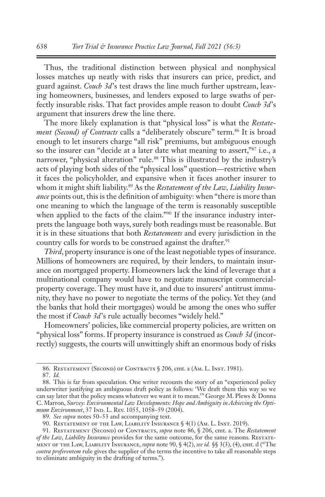Thus, the traditional distinction between physical and nonphysical losses matches up neatly with risks that insurers can price, predict, and guard against. *Couch 3d*'s test draws the line much further upstream, leaving homeowners, businesses, and lenders exposed to large swaths of perfectly insurable risks. That fact provides ample reason to doubt *Couch 3d*'s argument that insurers drew the line there.

The more likely explanation is that "physical loss" is what the *Restatement (Second) of Contracts* calls a "deliberately obscure" term.<sup>86</sup> It is broad enough to let insurers charge "all risk" premiums, but ambiguous enough so the insurer can "decide at a later date what meaning to assert,"87 i.e., a narrower, "physical alteration" rule.<sup>88</sup> This is illustrated by the industry's acts of playing both sides of the "physical loss" question—restrictive when it faces the policyholder, and expansive when it faces another insurer to whom it might shift liability.89 As the *Restatement of the Law, Liability Insurance* points out, this is the definition of ambiguity: when "there is more than one meaning to which the language of the term is reasonably susceptible when applied to the facts of the claim."<sup>90</sup> If the insurance industry interprets the language both ways, surely both readings must be reasonable. But it is in these situations that both *Restatements* and every jurisdiction in the country calls for words to be construed against the drafter.<sup>91</sup>

*Third*, property insurance is one of the least negotiable types of insurance. Millions of homeowners are required, by their lenders, to maintain insurance on mortgaged property. Homeowners lack the kind of leverage that a multinational company would have to negotiate manuscript commercialproperty coverage. They must have it, and due to insurers' antitrust immunity, they have no power to negotiate the terms of the policy. Yet they (and the banks that hold their mortgages) would be among the ones who suffer the most if *Couch 3d*'s rule actually becomes "widely held."

Homeowners' policies, like commercial property policies, are written on "physical loss" forms. If property insurance is construed as *Couch 3d* (incorrectly) suggests, the courts will unwittingly shift an enormous body of risks

<sup>86.</sup> RESTATEMENT (SECOND) OF CONTRACTS § 206, cmt. a (Am. L. INST. 1981).

<sup>87.</sup> *Id.*

<sup>88.</sup> This is far from speculation. One writer recounts the story of an "experienced policy underwriter justifying an ambiguous draft policy as follows: 'We draft them this way so we can say later that the policy means whatever we want it to mean.'" George M. Plews & Donna C. Marron, *Survey: Environmental Law Developments: Hope and Ambiguity in Achieving the Opti*mum Environment, 37 IND. L. Rev. 1055, 1058-59 (2004).

<sup>89.</sup> *See supra* notes 50–53 and accompanying text.

<sup>90.</sup> RESTATEMENT OF THE LAW, LIABILITY INSURANCE § 4(1) (AM. L. INST. 2019).

<sup>91.</sup> Restatement (Second) of Contracts, *supra* note 86, § 206, cmt. a. The *Restatement of the Law, Liability Insurance* provides for the same outcome, for the same reasons. RESTATEment of the Law, Liability Insurance, *supra* note 90, § 4(2), *see id.* §§ 3(3), (4), cmt. d ("The *contra proferentem* rule gives the supplier of the terms the incentive to take all reasonable steps to eliminate ambiguity in the drafting of terms.").